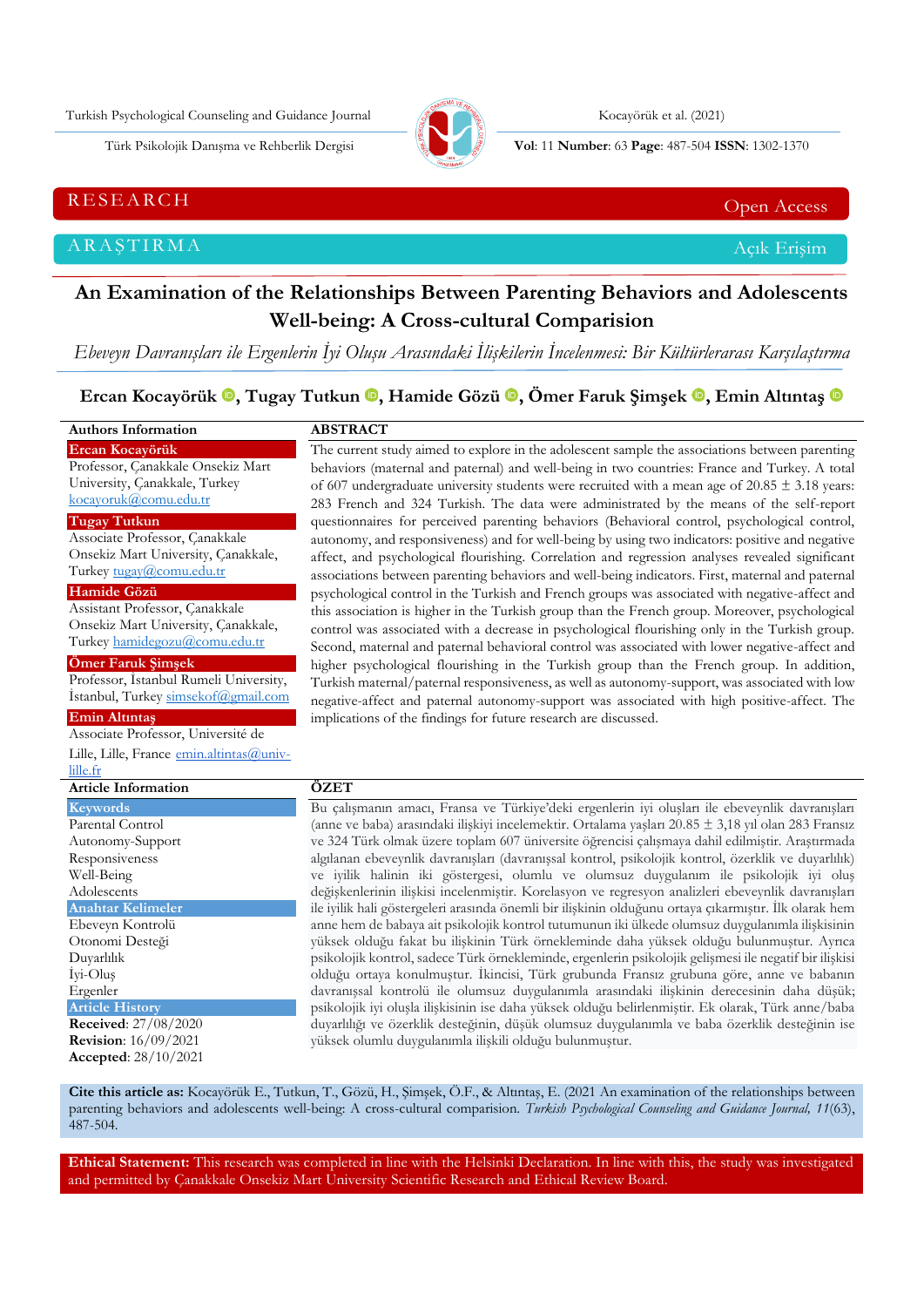Turkish Psychological Counseling and Guidance Journal (300) (2021) Kocayörük et al. (2021)



Türk Psikolojik Danışma ve Rehberlik Dergisi **Vol**: 11 **Number**: 63 **Page** : 487-504 **ISSN**: 1302-1370

RESEARCH CHE Open Access and the Contract of the Contract of the Contract of the Contract of the Contract of the Contract of the Contract of the Contract of the Contract of the Contract of the Contract of the Contract of t

ARAŞTIRMA Açık Erişim

# **An Examination of the Relationships Between Parenting Behaviors and Adolescents Well-being: A Cross-cultural Comparision**

*Ebeveyn Davranışları ile Ergenlerin İyi Oluşu Arasındaki İlişkilerin İncelenmesi: Bir Kültürlerarası Karşılaştırma*

**Ercan Kocayörük [,](https://orcid.org/0000-0002-3655-4158) Tugay Tutkun , Hamide Gözü, Ömer Faruk Şimşek , Emin Altıntaş** 

| <b>Authors Information</b>                                                                                                                                                                                                                | <b>ABSTRACT</b>                                                                                                                                                                                                                                                                                                                                                                                                                                                                                                                                                                                                                                                                                                                                                                                                                                                                                                                                                                                                                                                                                                                                                                                                                                                                                                                      |  |  |  |  |  |  |
|-------------------------------------------------------------------------------------------------------------------------------------------------------------------------------------------------------------------------------------------|--------------------------------------------------------------------------------------------------------------------------------------------------------------------------------------------------------------------------------------------------------------------------------------------------------------------------------------------------------------------------------------------------------------------------------------------------------------------------------------------------------------------------------------------------------------------------------------------------------------------------------------------------------------------------------------------------------------------------------------------------------------------------------------------------------------------------------------------------------------------------------------------------------------------------------------------------------------------------------------------------------------------------------------------------------------------------------------------------------------------------------------------------------------------------------------------------------------------------------------------------------------------------------------------------------------------------------------|--|--|--|--|--|--|
| Ercan Kocayörük<br>Professor, Çanakkale Onsekiz Mart<br>University, Çanakkale, Turkey<br>kocayoruk@comu.edu.tr                                                                                                                            | The current study aimed to explore in the adolescent sample the associations between parenting<br>behaviors (maternal and paternal) and well-being in two countries: France and Turkey. A total<br>of 607 undergraduate university students were recruited with a mean age of 20.85 $\pm$ 3.18 years:<br>283 French and 324 Turkish. The data were administrated by the means of the self-report                                                                                                                                                                                                                                                                                                                                                                                                                                                                                                                                                                                                                                                                                                                                                                                                                                                                                                                                     |  |  |  |  |  |  |
| <b>Tugay Tutkun</b><br>Associate Professor, Çanakkale<br>Onsekiz Mart University, Çanakkale,<br>Turkey tugay@comu.edu.tr                                                                                                                  | questionnaires for perceived parenting behaviors (Behavioral control, psychological control,<br>autonomy, and responsiveness) and for well-being by using two indicators: positive and negative<br>affect, and psychological flourishing. Correlation and regression analyses revealed significant<br>associations between parenting behaviors and well-being indicators. First, maternal and paternal                                                                                                                                                                                                                                                                                                                                                                                                                                                                                                                                                                                                                                                                                                                                                                                                                                                                                                                               |  |  |  |  |  |  |
| Hamide Gözü<br>Assistant Professor, Çanakkale<br>Onsekiz Mart University, Çanakkale,<br>Turkey hamidegozu@comu.edu.tr<br>Ömer Faruk Şimşek<br>Professor, İstanbul Rumeli University,                                                      | psychological control in the Turkish and French groups was associated with negative-affect and<br>this association is higher in the Turkish group than the French group. Moreover, psychological<br>control was associated with a decrease in psychological flourishing only in the Turkish group.<br>Second, maternal and paternal behavioral control was associated with lower negative-affect and<br>higher psychological flourishing in the Turkish group than the French group. In addition,<br>Turkish maternal/paternal responsiveness, as well as autonomy-support, was associated with low                                                                                                                                                                                                                                                                                                                                                                                                                                                                                                                                                                                                                                                                                                                                  |  |  |  |  |  |  |
| İstanbul, Turkey simsekof@gmail.com<br><b>Emin Altıntaş</b><br>Associate Professor, Université de<br>Lille, Lille, France emin.altintas@univ-                                                                                             | negative-affect and paternal autonomy-support was associated with high positive-affect. The<br>implications of the findings for future research are discussed.                                                                                                                                                                                                                                                                                                                                                                                                                                                                                                                                                                                                                                                                                                                                                                                                                                                                                                                                                                                                                                                                                                                                                                       |  |  |  |  |  |  |
| lille.fr                                                                                                                                                                                                                                  |                                                                                                                                                                                                                                                                                                                                                                                                                                                                                                                                                                                                                                                                                                                                                                                                                                                                                                                                                                                                                                                                                                                                                                                                                                                                                                                                      |  |  |  |  |  |  |
| <b>Article Information</b>                                                                                                                                                                                                                | ÖZET                                                                                                                                                                                                                                                                                                                                                                                                                                                                                                                                                                                                                                                                                                                                                                                                                                                                                                                                                                                                                                                                                                                                                                                                                                                                                                                                 |  |  |  |  |  |  |
| <b>Keywords</b><br>Parental Control<br>Autonomy-Support<br>Responsiveness<br>Well-Being<br>Adolescents<br><b>Anahtar Kelimeler</b><br>Ebeveyn Kontrolü<br>Otonomi Desteği<br>Duyarlılık<br>İyi-Oluş<br>Ergenler<br><b>Article History</b> | Bu çalışmanın amacı, Fransa ve Türkiye'deki ergenlerin iyi oluşları ile ebeveynlik davranışları<br>(anne ve baba) arasındaki ilişkiyi incelemektir. Ortalama yaşları 20.85 ± 3,18 yıl olan 283 Fransız<br>ve 324 Türk olmak üzere toplam 607 üniversite öğrencisi çalışmaya dahil edilmiştir. Araştırmada<br>algılanan ebeveynlik davranışları (davranışsal kontrol, psikolojik kontrol, özerklik ve duyarlılık)<br>ve iyilik halinin iki göstergesi, olumlu ve olumsuz duygulanım ile psikolojik iyi oluş<br>değişkenlerinin ilişkisi incelenmiştir. Korelasyon ve regresyon analizleri ebeveynlik davranışları<br>ile iyilik hali göstergeleri arasında önemli bir ilişkinin olduğunu ortaya çıkarmıştır. İlk olarak hem<br>anne hem de babaya ait psikolojik kontrol tutumunun iki ülkede olumsuz duygulanımla ilişkisinin<br>yüksek olduğu fakat bu ilişkinin Türk örnekleminde daha yüksek olduğu bulunmuştur. Ayrıca<br>psikolojik kontrol, sadece Türk örnekleminde, ergenlerin psikolojik gelişmesi ile negatif bir ilişkisi<br>olduğu ortaya konulmuştur. İkincisi, Türk grubunda Fransız grubuna göre, anne ve babanın<br>davranışsal kontrolü ile olumsuz duygulanımla arasındaki ilişkinin derecesinin daha düşük;<br>psikolojik iyi oluşla ilişkisinin ise daha yüksek olduğu belirlenmiştir. Ek olarak, Türk anne/baba |  |  |  |  |  |  |
| <b>Received:</b> 27/08/2020                                                                                                                                                                                                               | duyarlılığı ve özerklik desteğinin, düşük olumsuz duygulanımla ve baba özerklik desteğinin ise                                                                                                                                                                                                                                                                                                                                                                                                                                                                                                                                                                                                                                                                                                                                                                                                                                                                                                                                                                                                                                                                                                                                                                                                                                       |  |  |  |  |  |  |
| <b>Revision:</b> 16/09/2021                                                                                                                                                                                                               | yüksek olumlu duygulanımla ilişkili olduğu bulunmuştur.                                                                                                                                                                                                                                                                                                                                                                                                                                                                                                                                                                                                                                                                                                                                                                                                                                                                                                                                                                                                                                                                                                                                                                                                                                                                              |  |  |  |  |  |  |
| Accepted: 28/10/2021                                                                                                                                                                                                                      |                                                                                                                                                                                                                                                                                                                                                                                                                                                                                                                                                                                                                                                                                                                                                                                                                                                                                                                                                                                                                                                                                                                                                                                                                                                                                                                                      |  |  |  |  |  |  |

**Cite this article as:** Kocayörük E., Tutkun, T., Gözü, H., Şimşek, Ö.F., & Altıntaş, E. (2021 An examination of the relationships between parenting behaviors and adolescents well-being: A cross-cultural comparision*. Turkish Psychological Counseling and Guidance Journal, 11*(63),  $487 - 504.$ 

**Ethical Statement:** This research was completed in line with the Helsinki Declaration. In line with this, the study was investigated and permitted by Çanakkale Onsekiz Mart University Scientific Research and Ethical Review Board.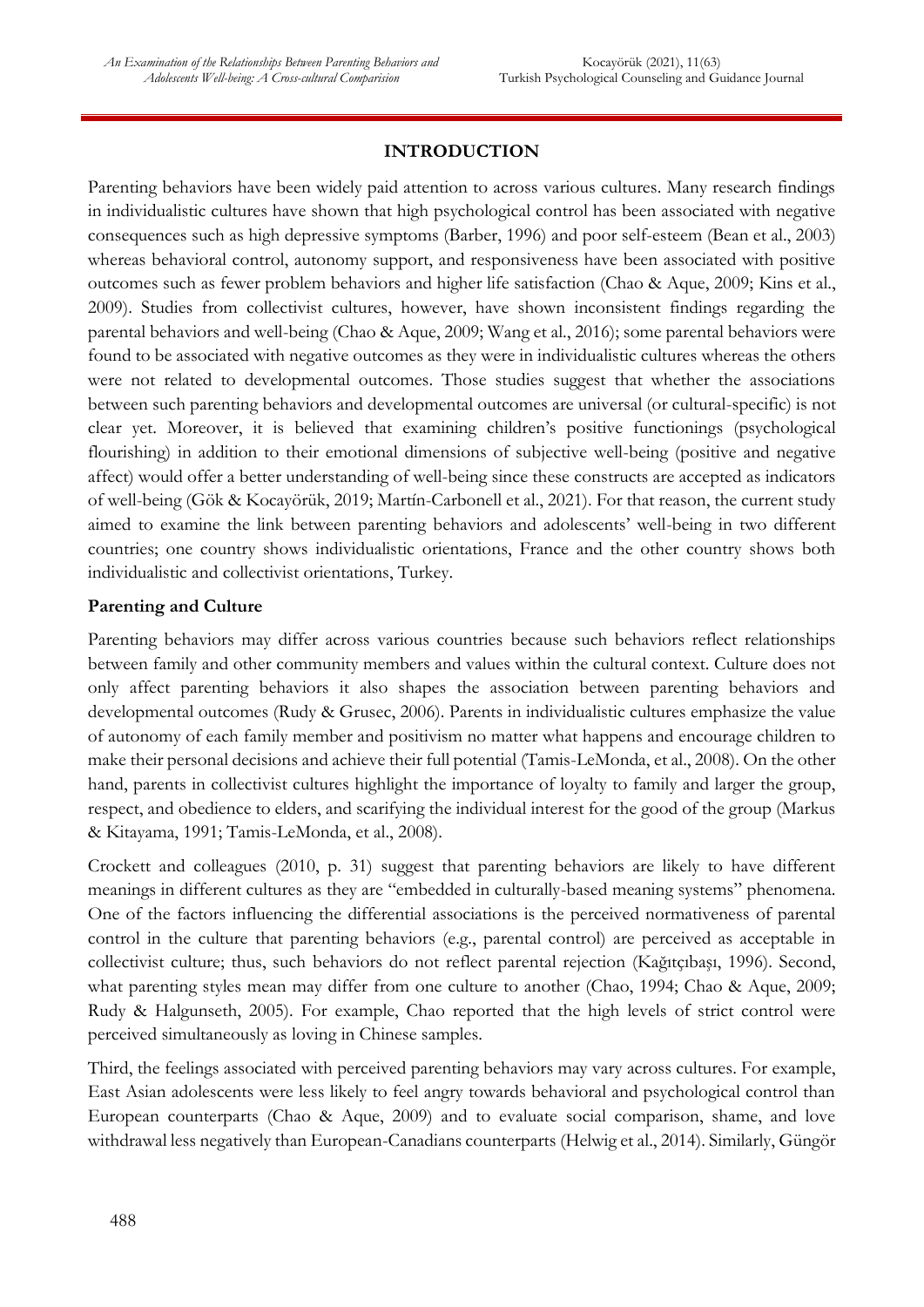# **INTRODUCTION**

Parenting behaviors have been widely paid attention to across various cultures. Many research findings in individualistic cultures have shown that high psychological control has been associated with negative consequences such as high depressive symptoms (Barber, 1996) and poor self-esteem (Bean et al., 2003) whereas behavioral control, autonomy support, and responsiveness have been associated with positive outcomes such as fewer problem behaviors and higher life satisfaction (Chao & Aque, 2009; Kins et al., 2009). Studies from collectivist cultures, however, have shown inconsistent findings regarding the parental behaviors and well-being (Chao & Aque, 2009; Wang et al., 2016); some parental behaviors were found to be associated with negative outcomes as they were in individualistic cultures whereas the others were not related to developmental outcomes. Those studies suggest that whether the associations between such parenting behaviors and developmental outcomes are universal (or cultural-specific) is not clear yet. Moreover, it is believed that examining children's positive functionings (psychological flourishing) in addition to their emotional dimensions of subjective well-being (positive and negative affect) would offer a better understanding of well-being since these constructs are accepted as indicators of well-being (Gök & Kocayörük, 2019; Martín-Carbonell et al., 2021). For that reason, the current study aimed to examine the link between parenting behaviors and adolescents' well-being in two different countries; one country shows individualistic orientations, France and the other country shows both individualistic and collectivist orientations, Turkey.

#### **Parenting and Culture**

Parenting behaviors may differ across various countries because such behaviors reflect relationships between family and other community members and values within the cultural context. Culture does not only affect parenting behaviors it also shapes the association between parenting behaviors and developmental outcomes (Rudy & Grusec, 2006). Parents in individualistic cultures emphasize the value of autonomy of each family member and positivism no matter what happens and encourage children to make their personal decisions and achieve their full potential (Tamis-LeMonda, et al., 2008). On the other hand, parents in collectivist cultures highlight the importance of loyalty to family and larger the group, respect, and obedience to elders, and scarifying the individual interest for the good of the group (Markus & Kitayama, 1991; Tamis-LeMonda, et al., 2008).

Crockett and colleagues (2010, p. 31) suggest that parenting behaviors are likely to have different meanings in different cultures as they are "embedded in culturally-based meaning systems" phenomena. One of the factors influencing the differential associations is the perceived normativeness of parental control in the culture that parenting behaviors (e.g., parental control) are perceived as acceptable in collectivist culture; thus, such behaviors do not reflect parental rejection (Kağıtçıbaşı, 1996). Second, what parenting styles mean may differ from one culture to another (Chao, 1994; Chao & Aque, 2009; Rudy & Halgunseth, 2005). For example, Chao reported that the high levels of strict control were perceived simultaneously as loving in Chinese samples.

Third, the feelings associated with perceived parenting behaviors may vary across cultures. For example, East Asian adolescents were less likely to feel angry towards behavioral and psychological control than European counterparts (Chao & Aque, 2009) and to evaluate social comparison, shame, and love withdrawal less negatively than European-Canadians counterparts (Helwig et al., 2014). Similarly, Güngör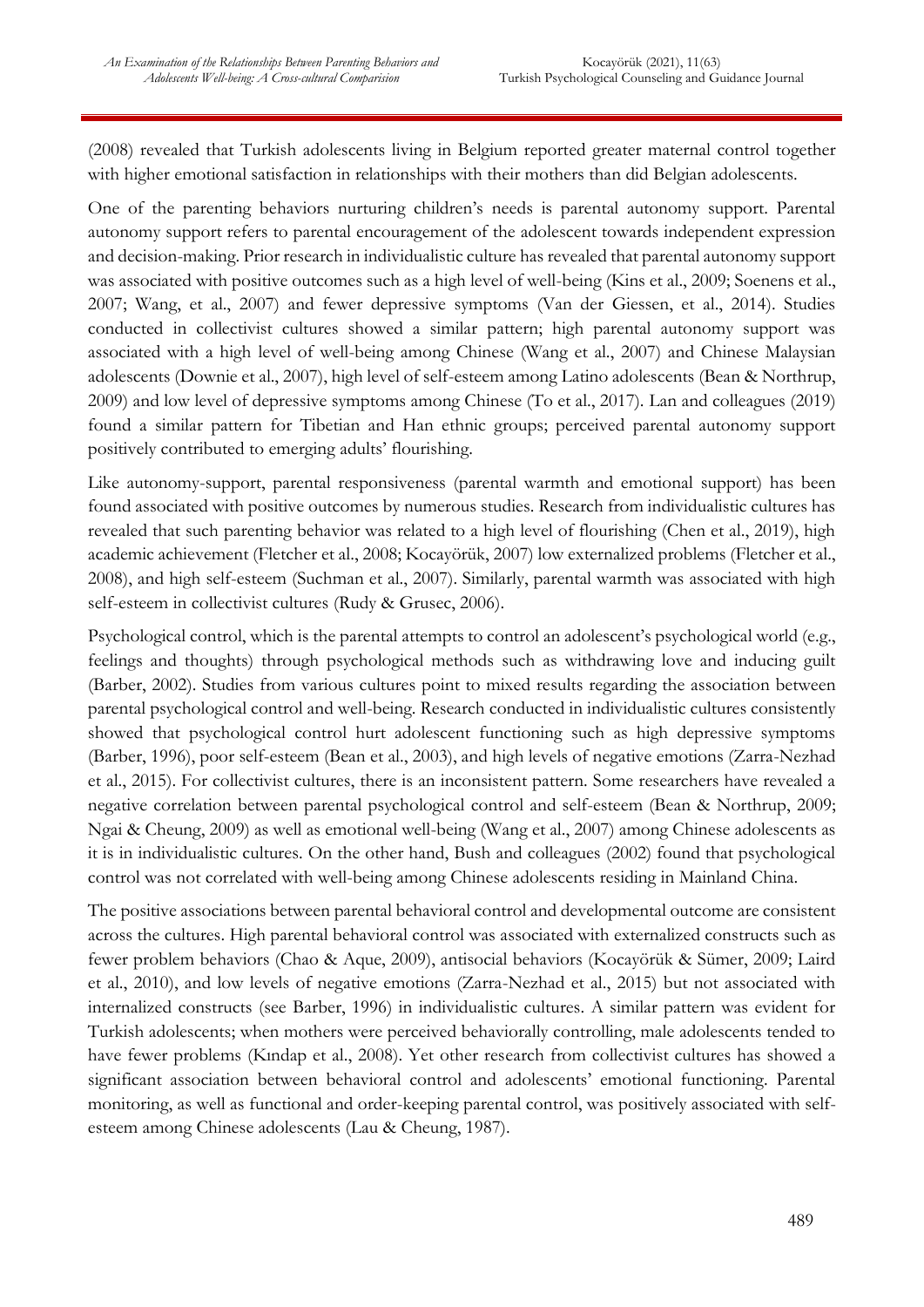(2008) revealed that Turkish adolescents living in Belgium reported greater maternal control together with higher emotional satisfaction in relationships with their mothers than did Belgian adolescents.

One of the parenting behaviors nurturing children's needs is parental autonomy support. Parental autonomy support refers to parental encouragement of the adolescent towards independent expression and decision-making. Prior research in individualistic culture has revealed that parental autonomy support was associated with positive outcomes such as a high level of well-being (Kins et al., 2009; Soenens et al., 2007; Wang, et al., 2007) and fewer depressive symptoms (Van der Giessen, et al., 2014). Studies conducted in collectivist cultures showed a similar pattern; high parental autonomy support was associated with a high level of well-being among Chinese (Wang et al., 2007) and Chinese Malaysian adolescents (Downie et al., 2007), high level of self-esteem among Latino adolescents (Bean & Northrup, 2009) and low level of depressive symptoms among Chinese (To et al., 2017). Lan and colleagues (2019) found a similar pattern for Tibetian and Han ethnic groups; perceived parental autonomy support positively contributed to emerging adults' flourishing.

Like autonomy-support, parental responsiveness (parental warmth and emotional support) has been found associated with positive outcomes by numerous studies. Research from individualistic cultures has revealed that such parenting behavior was related to a high level of flourishing (Chen et al., 2019), high academic achievement (Fletcher et al., 2008; Kocayörük, 2007) low externalized problems (Fletcher et al., 2008), and high self-esteem (Suchman et al., 2007). Similarly, parental warmth was associated with high self-esteem in collectivist cultures (Rudy & Grusec, 2006).

Psychological control, which is the parental attempts to control an adolescent's psychological world (e.g., feelings and thoughts) through psychological methods such as withdrawing love and inducing guilt (Barber, 2002). Studies from various cultures point to mixed results regarding the association between parental psychological control and well-being. Research conducted in individualistic cultures consistently showed that psychological control hurt adolescent functioning such as high depressive symptoms (Barber, 1996), poor self-esteem (Bean et al., 2003), and high levels of negative emotions (Zarra-Nezhad et al., 2015). For collectivist cultures, there is an inconsistent pattern. Some researchers have revealed a negative correlation between parental psychological control and self-esteem (Bean & Northrup, 2009; Ngai & Cheung, 2009) as well as emotional well-being (Wang et al., 2007) among Chinese adolescents as it is in individualistic cultures. On the other hand, Bush and colleagues (2002) found that psychological control was not correlated with well-being among Chinese adolescents residing in Mainland China.

The positive associations between parental behavioral control and developmental outcome are consistent across the cultures. High parental behavioral control was associated with externalized constructs such as fewer problem behaviors (Chao & Aque, 2009), antisocial behaviors (Kocayörük & Sümer, 2009; Laird et al., 2010), and low levels of negative emotions (Zarra-Nezhad et al., 2015) but not associated with internalized constructs (see Barber, 1996) in individualistic cultures. A similar pattern was evident for Turkish adolescents; when mothers were perceived behaviorally controlling, male adolescents tended to have fewer problems (Kındap et al., 2008). Yet other research from collectivist cultures has showed a significant association between behavioral control and adolescents' emotional functioning. Parental monitoring, as well as functional and order-keeping parental control, was positively associated with selfesteem among Chinese adolescents (Lau & Cheung, 1987).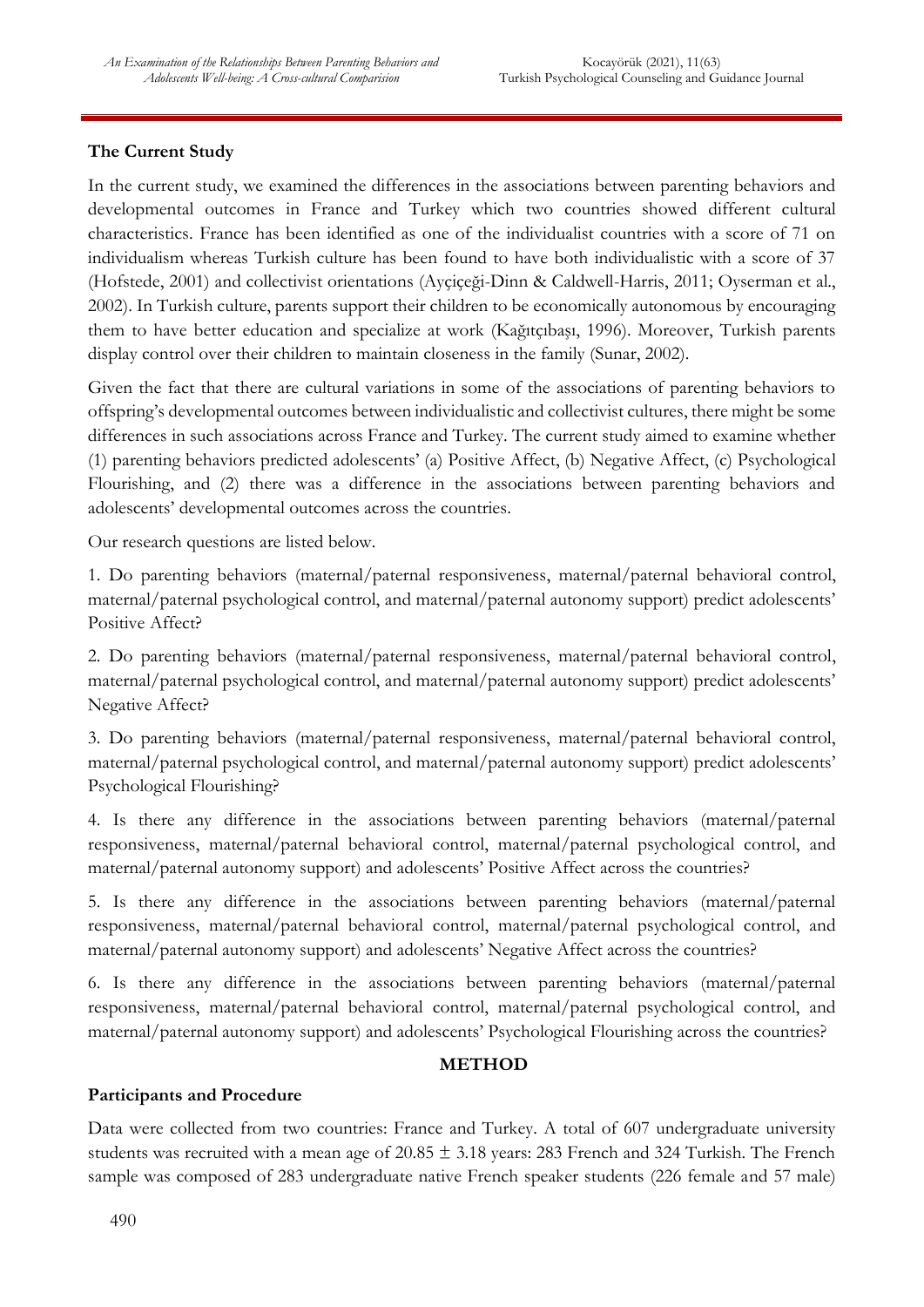# **The Current Study**

In the current study, we examined the differences in the associations between parenting behaviors and developmental outcomes in France and Turkey which two countries showed different cultural characteristics. France has been identified as one of the individualist countries with a score of 71 on individualism whereas Turkish culture has been found to have both individualistic with a score of 37 (Hofstede, 2001) and collectivist orientations (Ayçiçeği-Dinn & Caldwell-Harris, 2011; Oyserman et al., 2002). In Turkish culture, parents support their children to be economically autonomous by encouraging them to have better education and specialize at work (Kağıtçıbaşı, 1996). Moreover, Turkish parents display control over their children to maintain closeness in the family (Sunar, 2002).

Given the fact that there are cultural variations in some of the associations of parenting behaviors to offspring's developmental outcomes between individualistic and collectivist cultures, there might be some differences in such associations across France and Turkey. The current study aimed to examine whether (1) parenting behaviors predicted adolescents' (a) Positive Affect, (b) Negative Affect, (c) Psychological Flourishing, and (2) there was a difference in the associations between parenting behaviors and adolescents' developmental outcomes across the countries.

Our research questions are listed below.

1. Do parenting behaviors (maternal/paternal responsiveness, maternal/paternal behavioral control, maternal/paternal psychological control, and maternal/paternal autonomy support) predict adolescents' Positive Affect?

2. Do parenting behaviors (maternal/paternal responsiveness, maternal/paternal behavioral control, maternal/paternal psychological control, and maternal/paternal autonomy support) predict adolescents' Negative Affect?

3. Do parenting behaviors (maternal/paternal responsiveness, maternal/paternal behavioral control, maternal/paternal psychological control, and maternal/paternal autonomy support) predict adolescents' Psychological Flourishing?

4. Is there any difference in the associations between parenting behaviors (maternal/paternal responsiveness, maternal/paternal behavioral control, maternal/paternal psychological control, and maternal/paternal autonomy support) and adolescents' Positive Affect across the countries?

5. Is there any difference in the associations between parenting behaviors (maternal/paternal responsiveness, maternal/paternal behavioral control, maternal/paternal psychological control, and maternal/paternal autonomy support) and adolescents' Negative Affect across the countries?

6. Is there any difference in the associations between parenting behaviors (maternal/paternal responsiveness, maternal/paternal behavioral control, maternal/paternal psychological control, and maternal/paternal autonomy support) and adolescents' Psychological Flourishing across the countries?

#### **METHOD**

## **Participants and Procedure**

Data were collected from two countries: France and Turkey. A total of 607 undergraduate university students was recruited with a mean age of 20.85 ± 3.18 years: 283 French and 324 Turkish. The French sample was composed of 283 undergraduate native French speaker students (226 female and 57 male)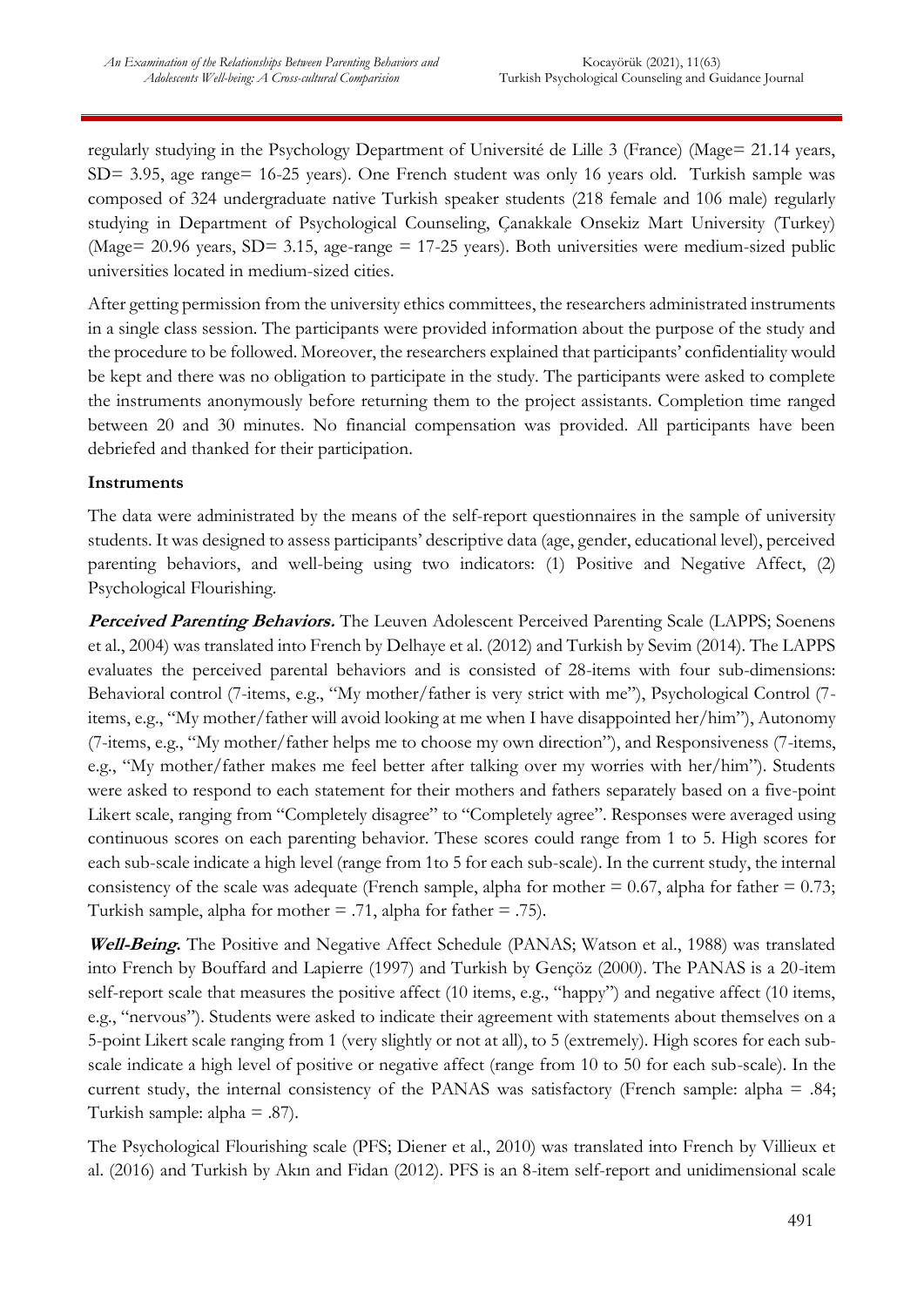regularly studying in the Psychology Department of Université de Lille 3 (France) (Mage= 21.14 years, SD= 3.95, age range= 16-25 years). One French student was only 16 years old. Turkish sample was composed of 324 undergraduate native Turkish speaker students (218 female and 106 male) regularly studying in Department of Psychological Counseling, Çanakkale Onsekiz Mart University (Turkey) (Mage= 20.96 years, SD= 3.15, age-range = 17-25 years). Both universities were medium-sized public universities located in medium-sized cities.

After getting permission from the university ethics committees, the researchers administrated instruments in a single class session. The participants were provided information about the purpose of the study and the procedure to be followed. Moreover, the researchers explained that participants' confidentiality would be kept and there was no obligation to participate in the study. The participants were asked to complete the instruments anonymously before returning them to the project assistants. Completion time ranged between 20 and 30 minutes. No financial compensation was provided. All participants have been debriefed and thanked for their participation.

## **Instruments**

The data were administrated by the means of the self-report questionnaires in the sample of university students. It was designed to assess participants' descriptive data (age, gender, educational level), perceived parenting behaviors, and well-being using two indicators: (1) Positive and Negative Affect, (2) Psychological Flourishing.

**Perceived Parenting Behaviors.** The Leuven Adolescent Perceived Parenting Scale (LAPPS; Soenens et al., 2004) was translated into French by Delhaye et al. (2012) and Turkish by Sevim (2014). The LAPPS evaluates the perceived parental behaviors and is consisted of 28-items with four sub-dimensions: Behavioral control (7-items, e.g., "My mother/father is very strict with me"), Psychological Control (7 items, e.g., "My mother/father will avoid looking at me when I have disappointed her/him"), Autonomy (7-items, e.g., "My mother/father helps me to choose my own direction"), and Responsiveness (7-items, e.g., "My mother/father makes me feel better after talking over my worries with her/him"). Students were asked to respond to each statement for their mothers and fathers separately based on a five-point Likert scale, ranging from "Completely disagree" to "Completely agree". Responses were averaged using continuous scores on each parenting behavior. These scores could range from 1 to 5. High scores for each sub-scale indicate a high level (range from 1to 5 for each sub-scale). In the current study, the internal consistency of the scale was adequate (French sample, alpha for mother  $= 0.67$ , alpha for father  $= 0.73$ ; Turkish sample, alpha for mother  $= .71$ , alpha for father  $= .75$ ).

**Well-Being.** The Positive and Negative Affect Schedule (PANAS; Watson et al., 1988) was translated into French by Bouffard and Lapierre (1997) and Turkish by Gençöz (2000). The PANAS is a 20-item self-report scale that measures the positive affect (10 items, e.g., "happy") and negative affect (10 items, e.g., "nervous"). Students were asked to indicate their agreement with statements about themselves on a 5-point Likert scale ranging from 1 (very slightly or not at all), to 5 (extremely). High scores for each subscale indicate a high level of positive or negative affect (range from 10 to 50 for each sub-scale). In the current study, the internal consistency of the PANAS was satisfactory (French sample: alpha = .84; Turkish sample: alpha  $= .87$ ).

The Psychological Flourishing scale (PFS; Diener et al., 2010) was translated into French by Villieux et al. (2016) and Turkish by Akın and Fidan (2012). PFS is an 8-item self-report and unidimensional scale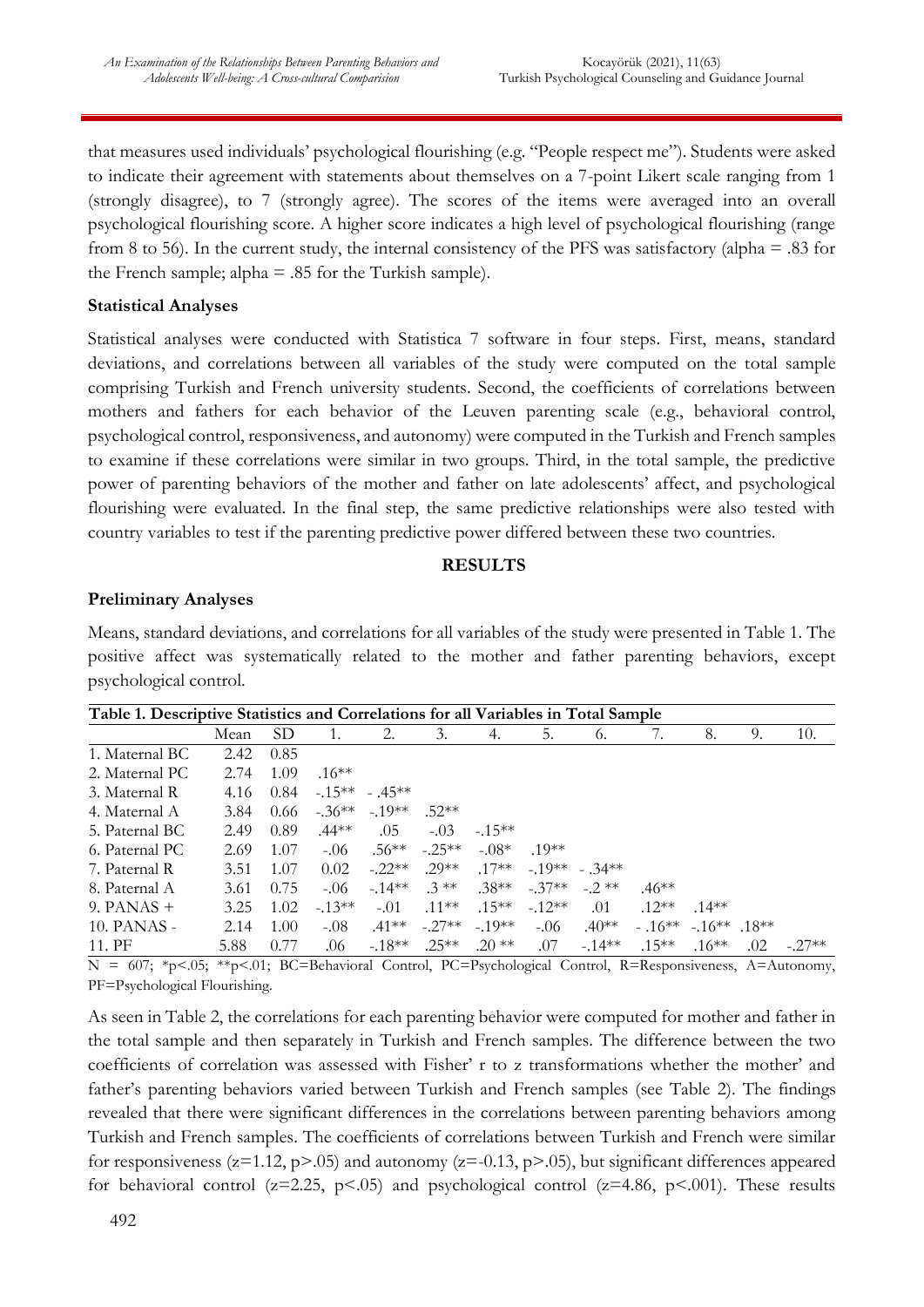that measures used individuals' psychological flourishing (e.g. "People respect me"). Students were asked to indicate their agreement with statements about themselves on a 7-point Likert scale ranging from 1 (strongly disagree), to 7 (strongly agree). The scores of the items were averaged into an overall psychological flourishing score. A higher score indicates a high level of psychological flourishing (range from 8 to 56). In the current study, the internal consistency of the PFS was satisfactory (alpha  $= .83$  for the French sample; alpha  $= .85$  for the Turkish sample).

#### **Statistical Analyses**

Statistical analyses were conducted with Statistica 7 software in four steps. First, means, standard deviations, and correlations between all variables of the study were computed on the total sample comprising Turkish and French university students. Second, the coefficients of correlations between mothers and fathers for each behavior of the Leuven parenting scale (e.g., behavioral control, psychological control, responsiveness, and autonomy) were computed in the Turkish and French samples to examine if these correlations were similar in two groups. Third, in the total sample, the predictive power of parenting behaviors of the mother and father on late adolescents' affect, and psychological flourishing were evaluated. In the final step, the same predictive relationships were also tested with country variables to test if the parenting predictive power differed between these two countries.

#### **RESULTS**

#### **Preliminary Analyses**

Means, standard deviations, and correlations for all variables of the study were presented in Table 1. The positive affect was systematically related to the mother and father parenting behaviors, except psychological control.

| Table 1. Descriptive Statistics and Correlations for all Variables in Total Sample |      |                 |          |                |          |           |          |                |           |               |     |          |
|------------------------------------------------------------------------------------|------|-----------------|----------|----------------|----------|-----------|----------|----------------|-----------|---------------|-----|----------|
|                                                                                    | Mean | SD <sub>1</sub> |          | 2.             | 3.       | 4.        | 5.       | 6.             |           | 8.            | 9.  | 10.      |
| 1. Maternal BC                                                                     | 2.42 | 0.85            |          |                |          |           |          |                |           |               |     |          |
| 2. Maternal PC                                                                     | 2.74 | 1.09            | $.16***$ |                |          |           |          |                |           |               |     |          |
| 3. Maternal R                                                                      | 4.16 | 0.84            |          | $-15** - 45**$ |          |           |          |                |           |               |     |          |
| 4. Maternal A                                                                      | 3.84 | 0.66            |          | $-36** -19**$  | $52**$   |           |          |                |           |               |     |          |
| 5. Paternal BC                                                                     | 2.49 | 0.89            | $.44**$  | .05            | $-.03$   | $-.15***$ |          |                |           |               |     |          |
| 6. Paternal PC                                                                     | 2.69 | 1.07            | $-.06$   | $.56***$       | $-.25**$ | $-.08*$   | $10**$   |                |           |               |     |          |
| 7. Paternal R                                                                      | 3.51 | 1.07            | 0.02     | $-.22**$       | $.29**$  | $.17**$   |          | $-19** - 34**$ |           |               |     |          |
| 8. Paternal A                                                                      | 3.61 | 0.75            | $-.06$   | $-14**$        | $.3$ **  | $.38**$   | $-.37**$ | $-2$ **        | $.46**$   |               |     |          |
| 9. PANAS $+$                                                                       | 3.25 | 1.02            | $-1.3**$ | $-.01$         | $.11***$ | $.15***$  | $-12**$  | .01            | $.12**$   | $.14***$      |     |          |
| 10. PANAS -                                                                        | 2.14 | 1.00            | $-.08$   | $.41***$       | $-.27**$ | $-19**$   | $-.06$   | $.40**$        | $-.16***$ | $-16***$ 18** |     |          |
| 11. PF                                                                             | 5.88 | 0.77            | .06      | $-.18**$       | $.25**$  | $.20**$   | .07      | $-14**$        | $.15***$  | $.16***$      | .02 | $-.27**$ |

N = 607; \*p<.05; \*\*p<.01; BC=Behavioral Control, PC=Psychological Control, R=Responsiveness, A=Autonomy, PF=Psychological Flourishing.

As seen in Table 2, the correlations for each parenting behavior were computed for mother and father in the total sample and then separately in Turkish and French samples. The difference between the two coefficients of correlation was assessed with Fisher' r to z transformations whether the mother' and father's parenting behaviors varied between Turkish and French samples (see Table 2). The findings revealed that there were significant differences in the correlations between parenting behaviors among Turkish and French samples. The coefficients of correlations between Turkish and French were similar for responsiveness ( $z=1.12$ ,  $p>0.05$ ) and autonomy ( $z=-0.13$ ,  $p>0.05$ ), but significant differences appeared for behavioral control ( $z=2.25$ ,  $p<0.05$ ) and psychological control ( $z=4.86$ ,  $p<0.01$ ). These results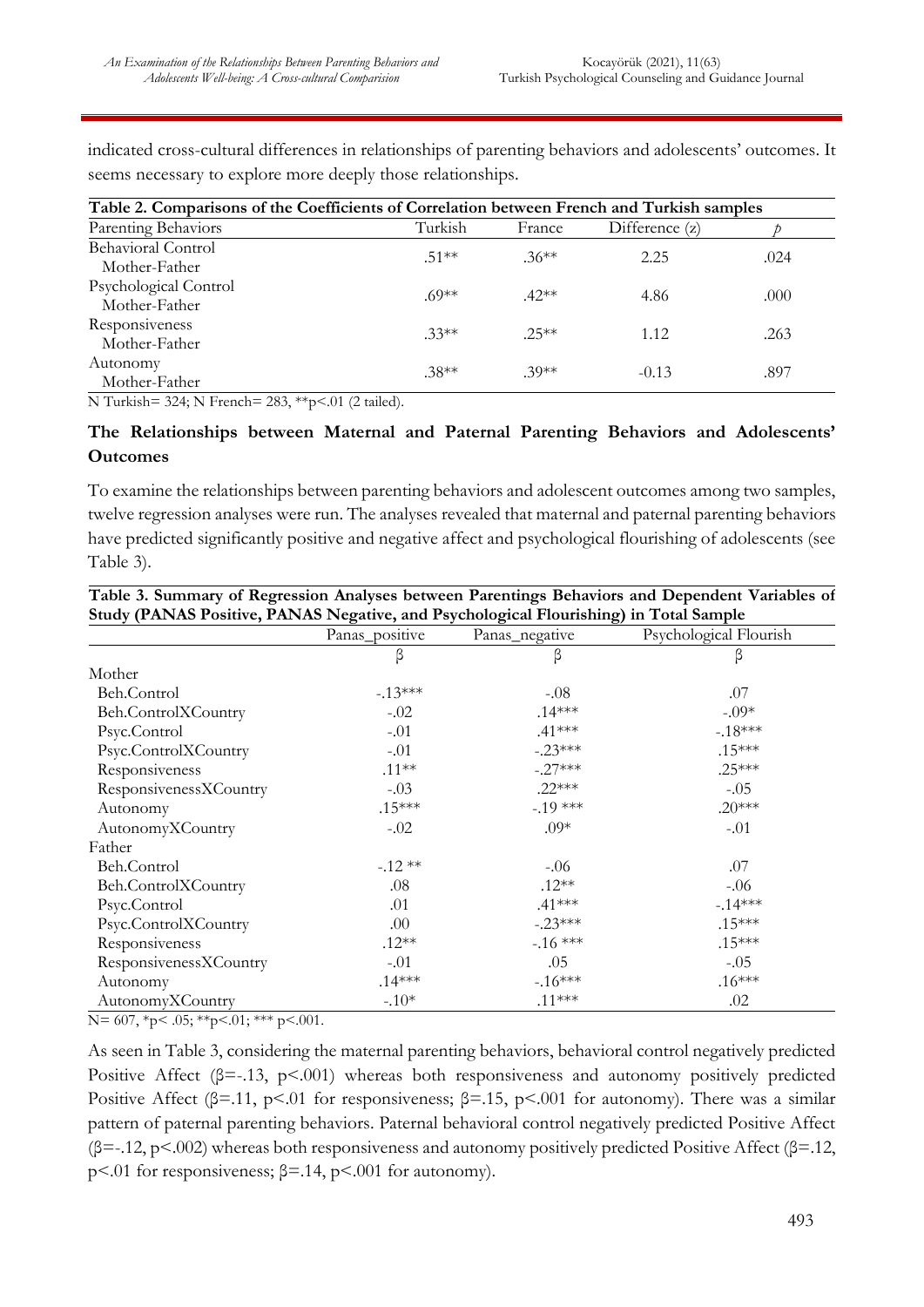| Table 2. Comparisons of the Coefficients of Correlation between French and Turkish samples |         |         |                |      |  |  |  |
|--------------------------------------------------------------------------------------------|---------|---------|----------------|------|--|--|--|
| Parenting Behaviors                                                                        | Turkish | France  | Difference (z) |      |  |  |  |
| <b>Behavioral Control</b><br>Mother-Father                                                 | $.51**$ | $.36**$ | 2.25           | .024 |  |  |  |
| Psychological Control<br>Mother-Father                                                     | $69**$  | $.42**$ | 4.86           | .000 |  |  |  |
| Responsiveness<br>Mother-Father                                                            | $.33**$ | $.25**$ | 1.12           | .263 |  |  |  |
| Autonomy<br>Mother-Father                                                                  | $.38**$ | $.39**$ | $-0.13$        | .897 |  |  |  |

indicated cross-cultural differences in relationships of parenting behaviors and adolescents' outcomes. It seems necessary to explore more deeply those relationships.

N Turkish= 324; N French= 283, \*\*p<.01 (2 tailed).

#### **The Relationships between Maternal and Paternal Parenting Behaviors and Adolescents' Outcomes**

To examine the relationships between parenting behaviors and adolescent outcomes among two samples, twelve regression analyses were run. The analyses revealed that maternal and paternal parenting behaviors have predicted significantly positive and negative affect and psychological flourishing of adolescents (see Table 3).

|                        | Panas_positive | Panas_negative | Psychological Flourish |
|------------------------|----------------|----------------|------------------------|
|                        | β              | β              | β                      |
| Mother                 |                |                |                        |
| Beh.Control            | $-13***$       | $-.08$         | .07                    |
| Beh.ControlXCountry    | $-.02$         | $.14***$       | $-.09*$                |
| Psyc.Control           | $-.01$         | $.41***$       | $-18***$               |
| Psyc.ControlXCountry   | $-.01$         | $-.23***$      | $.15***$               |
| Responsiveness         | $.11***$       | $-.27***$      | $.25***$               |
| ResponsivenessXCountry | $-.03$         | $.22***$       | $-.05$                 |
| Autonomy               | $.15***$       | $-19$ ***      | $.20***$               |
| AutonomyXCountry       | $-.02$         | $.09*$         | $-.01$                 |
| Father                 |                |                |                        |
| Beh.Control            | $-.12**$       | $-.06$         | .07                    |
| Beh.ControlXCountry    | .08            | $.12**$        | $-0.06$                |
| Psyc.Control           | .01            | $.41***$       | $-.14***$              |
| Psyc.ControlXCountry   | .00            | $-.23***$      | $.15***$               |
| Responsiveness         | $.12**$        | $-16$ ***      | $.15***$               |
| ResponsivenessXCountry | $-.01$         | .05            | $-.05$                 |
| Autonomy               | $.14***$       | $-.16***$      | $.16***$               |
| AutonomyXCountry       | $-.10*$        | $.11***$       | .02                    |

**Table 3. Summary of Regression Analyses between Parentings Behaviors and Dependent Variables of Study (PANAS Positive, PANAS Negative, and Psychological Flourishing) in Total Sample**

 $N= 607, *p< .05; **p<.01; ***p<.001.$ 

As seen in Table 3, considering the maternal parenting behaviors, behavioral control negatively predicted Positive Affect (β=-.13, p<.001) whereas both responsiveness and autonomy positively predicted Positive Affect ( $\beta$ =.11, p<.01 for responsiveness;  $\beta$ =.15, p<.001 for autonomy). There was a similar pattern of paternal parenting behaviors. Paternal behavioral control negatively predicted Positive Affect  $(\beta = -12, p < 0.002)$  whereas both responsiveness and autonomy positively predicted Positive Affect ( $\beta = 12$ , p<.01 for responsiveness;  $\beta$ =.14, p<.001 for autonomy).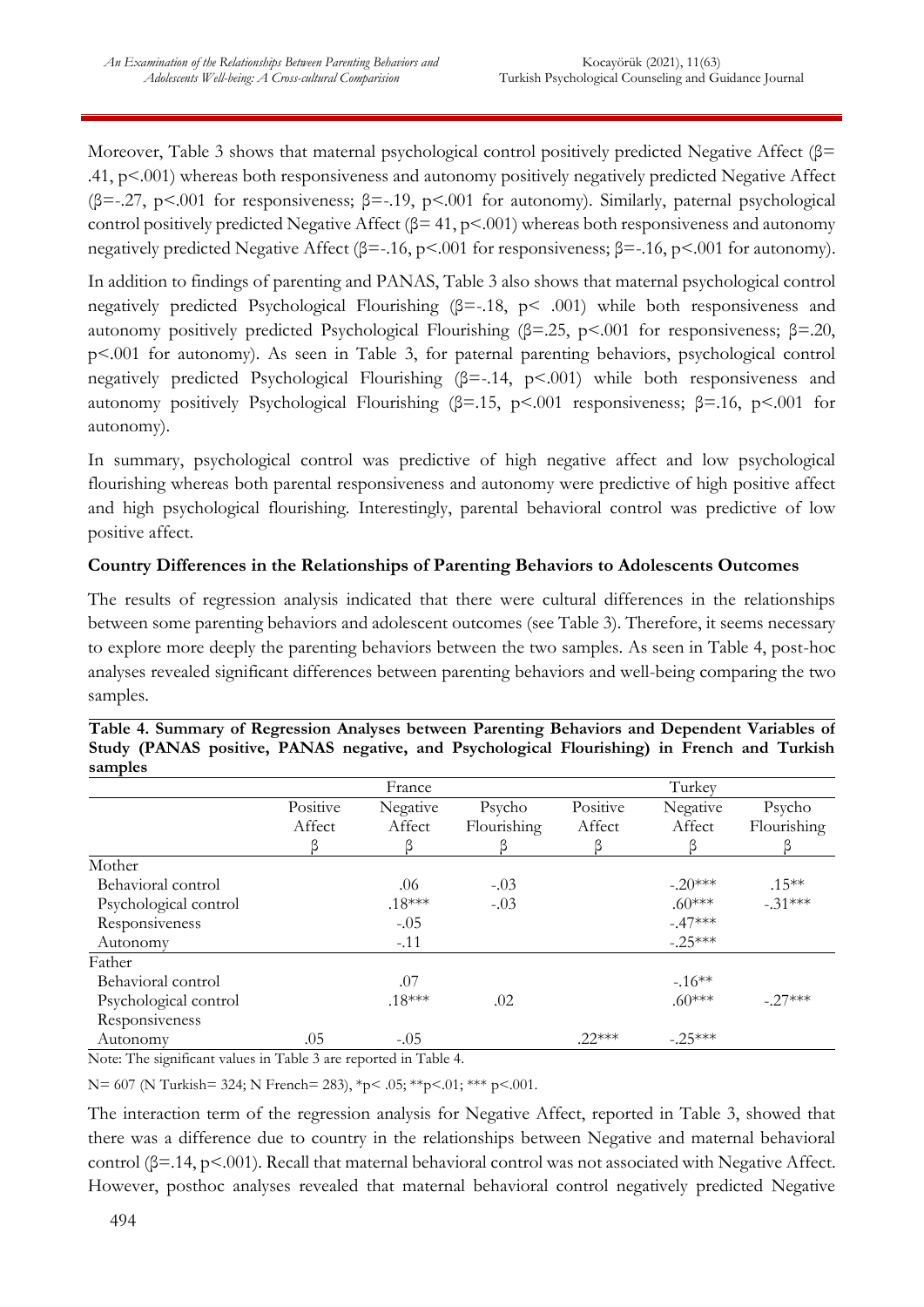Moreover, Table 3 shows that maternal psychological control positively predicted Negative Affect (β= .41, p<.001) whereas both responsiveness and autonomy positively negatively predicted Negative Affect ( $\beta$ =-.27, p<.001 for responsiveness;  $\beta$ =-.19, p<.001 for autonomy). Similarly, paternal psychological control positively predicted Negative Affect ( $\beta$ = 41, p<.001) whereas both responsiveness and autonomy negatively predicted Negative Affect (β=-.16, p<.001 for responsiveness; β=-.16, p<.001 for autonomy).

In addition to findings of parenting and PANAS, Table 3 also shows that maternal psychological control negatively predicted Psychological Flourishing (β=-.18, p< .001) while both responsiveness and autonomy positively predicted Psychological Flourishing (β=.25, p<.001 for responsiveness; β=.20, p<.001 for autonomy). As seen in Table 3, for paternal parenting behaviors, psychological control negatively predicted Psychological Flourishing  $(\beta = -14, p < 001)$  while both responsiveness and autonomy positively Psychological Flourishing (β=.15, p<.001 responsiveness; β=.16, p<.001 for autonomy).

In summary, psychological control was predictive of high negative affect and low psychological flourishing whereas both parental responsiveness and autonomy were predictive of high positive affect and high psychological flourishing. Interestingly, parental behavioral control was predictive of low positive affect.

## **Country Differences in the Relationships of Parenting Behaviors to Adolescents Outcomes**

The results of regression analysis indicated that there were cultural differences in the relationships between some parenting behaviors and adolescent outcomes (see Table 3). Therefore, it seems necessary to explore more deeply the parenting behaviors between the two samples. As seen in Table 4, post-hoc analyses revealed significant differences between parenting behaviors and well-being comparing the two samples.

| $rac{1}{2}$           |          |          |             |          |           |             |
|-----------------------|----------|----------|-------------|----------|-----------|-------------|
|                       |          | France   |             |          | Turkey    |             |
|                       | Positive | Negative | Psycho      | Positive | Negative  | Psycho      |
|                       | Affect   | Affect   | Flourishing | Affect   | Affect    | Flourishing |
|                       |          |          |             |          |           |             |
| Mother                |          |          |             |          |           |             |
| Behavioral control    |          | .06      | $-.03$      |          | $-.20***$ | $.15***$    |
| Psychological control |          | $.18***$ | $-.03$      |          | $.60***$  | $-.31***$   |
| Responsiveness        |          | $-.05$   |             |          | $-.47***$ |             |
| Autonomy              |          | $-.11$   |             |          | $-.25***$ |             |
| Father                |          |          |             |          |           |             |
| Behavioral control    |          | .07      |             |          | $-16**$   |             |
| Psychological control |          | $.18***$ | .02         |          | $.60***$  | $-.27***$   |
| Responsiveness        |          |          |             |          |           |             |
| Autonomy              | .05      | $-.05$   |             | $.22***$ | $-.25***$ |             |

**Table 4. Summary of Regression Analyses between Parenting Behaviors and Dependent Variables of Study (PANAS positive, PANAS negative, and Psychological Flourishing) in French and Turkish samples**

Note: The significant values in Table 3 are reported in Table 4.

N= 607 (N Turkish= 324; N French= 283), \*p< .05; \*\*p<.01; \*\*\* p<.001.

The interaction term of the regression analysis for Negative Affect, reported in Table 3, showed that there was a difference due to country in the relationships between Negative and maternal behavioral control (β=.14, p<.001). Recall that maternal behavioral control was not associated with Negative Affect. However, posthoc analyses revealed that maternal behavioral control negatively predicted Negative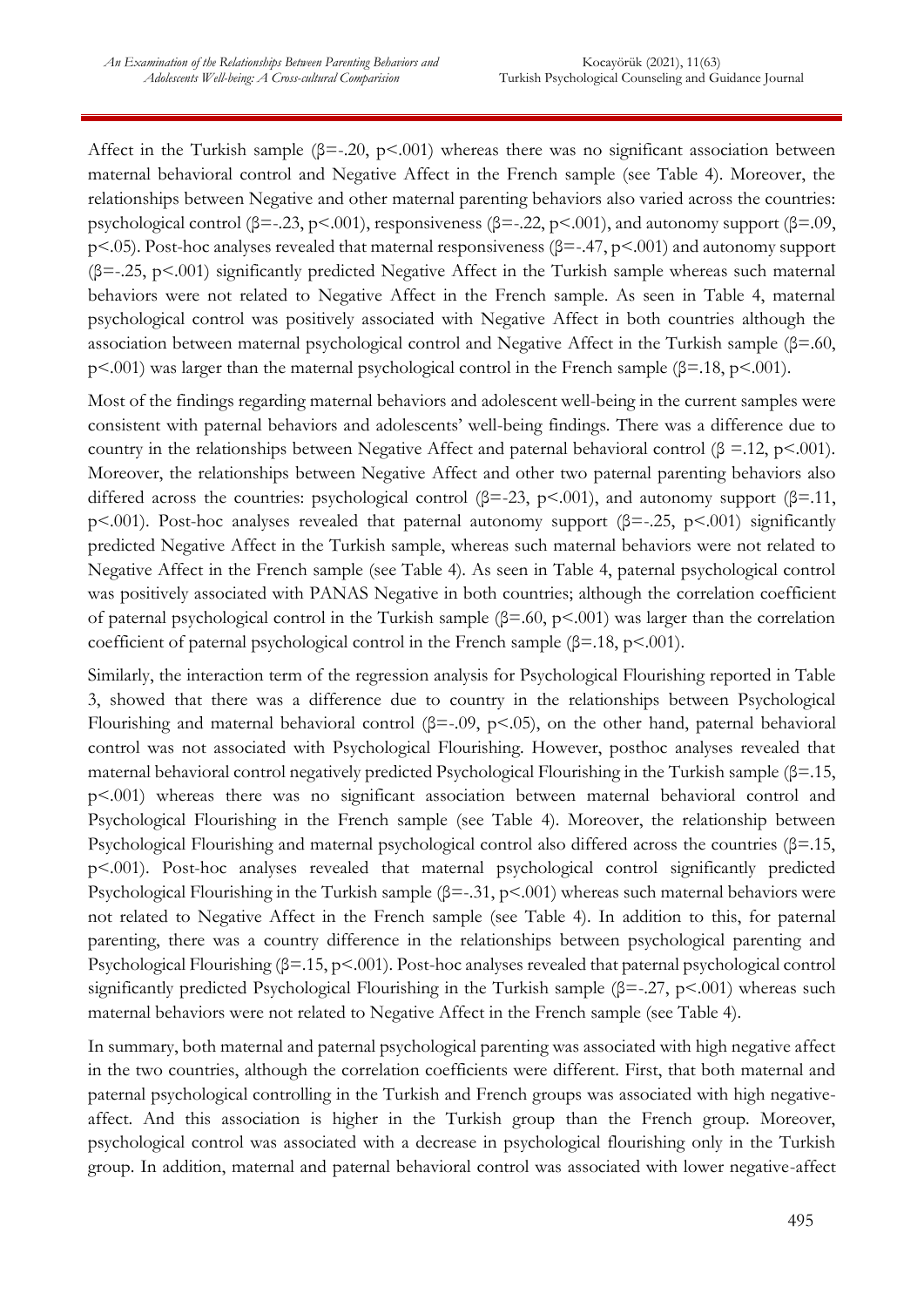Affect in the Turkish sample ( $\beta$ =-.20, p<.001) whereas there was no significant association between maternal behavioral control and Negative Affect in the French sample (see Table 4). Moreover, the relationships between Negative and other maternal parenting behaviors also varied across the countries: psychological control ( $\beta$ =-.23, p<.001), responsiveness ( $\beta$ =-.22, p<.001), and autonomy support ( $\beta$ =.09, p<.05). Post-hoc analyses revealed that maternal responsiveness (β=-.47, p<.001) and autonomy support  $(\beta = -0.25, p < 0.001)$  significantly predicted Negative Affect in the Turkish sample whereas such maternal behaviors were not related to Negative Affect in the French sample. As seen in Table 4, maternal psychological control was positively associated with Negative Affect in both countries although the association between maternal psychological control and Negative Affect in the Turkish sample (β=.60, p<.001) was larger than the maternal psychological control in the French sample (β=.18, p<.001).

Most of the findings regarding maternal behaviors and adolescent well-being in the current samples were consistent with paternal behaviors and adolescents' well-being findings. There was a difference due to country in the relationships between Negative Affect and paternal behavioral control ( $\beta$  =.12, p<.001). Moreover, the relationships between Negative Affect and other two paternal parenting behaviors also differed across the countries: psychological control ( $\beta$ =-23, p<.001), and autonomy support ( $\beta$ =.11, p<.001). Post-hoc analyses revealed that paternal autonomy support (β=-.25, p<.001) significantly predicted Negative Affect in the Turkish sample, whereas such maternal behaviors were not related to Negative Affect in the French sample (see Table 4). As seen in Table 4, paternal psychological control was positively associated with PANAS Negative in both countries; although the correlation coefficient of paternal psychological control in the Turkish sample (β=.60, p<.001) was larger than the correlation coefficient of paternal psychological control in the French sample  $(\beta = 18, p < 0.001)$ .

Similarly, the interaction term of the regression analysis for Psychological Flourishing reported in Table 3, showed that there was a difference due to country in the relationships between Psychological Flourishing and maternal behavioral control ( $\beta$ =-.09, p<.05), on the other hand, paternal behavioral control was not associated with Psychological Flourishing. However, posthoc analyses revealed that maternal behavioral control negatively predicted Psychological Flourishing in the Turkish sample (β=.15, p<.001) whereas there was no significant association between maternal behavioral control and Psychological Flourishing in the French sample (see Table 4). Moreover, the relationship between Psychological Flourishing and maternal psychological control also differed across the countries (β=.15, p<.001). Post-hoc analyses revealed that maternal psychological control significantly predicted Psychological Flourishing in the Turkish sample  $(\beta = .31, p < .001)$  whereas such maternal behaviors were not related to Negative Affect in the French sample (see Table 4). In addition to this, for paternal parenting, there was a country difference in the relationships between psychological parenting and Psychological Flourishing (β=.15, p<.001). Post-hoc analyses revealed that paternal psychological control significantly predicted Psychological Flourishing in the Turkish sample (β=-.27, p<.001) whereas such maternal behaviors were not related to Negative Affect in the French sample (see Table 4).

In summary, both maternal and paternal psychological parenting was associated with high negative affect in the two countries, although the correlation coefficients were different. First, that both maternal and paternal psychological controlling in the Turkish and French groups was associated with high negativeaffect. And this association is higher in the Turkish group than the French group. Moreover, psychological control was associated with a decrease in psychological flourishing only in the Turkish group. In addition, maternal and paternal behavioral control was associated with lower negative-affect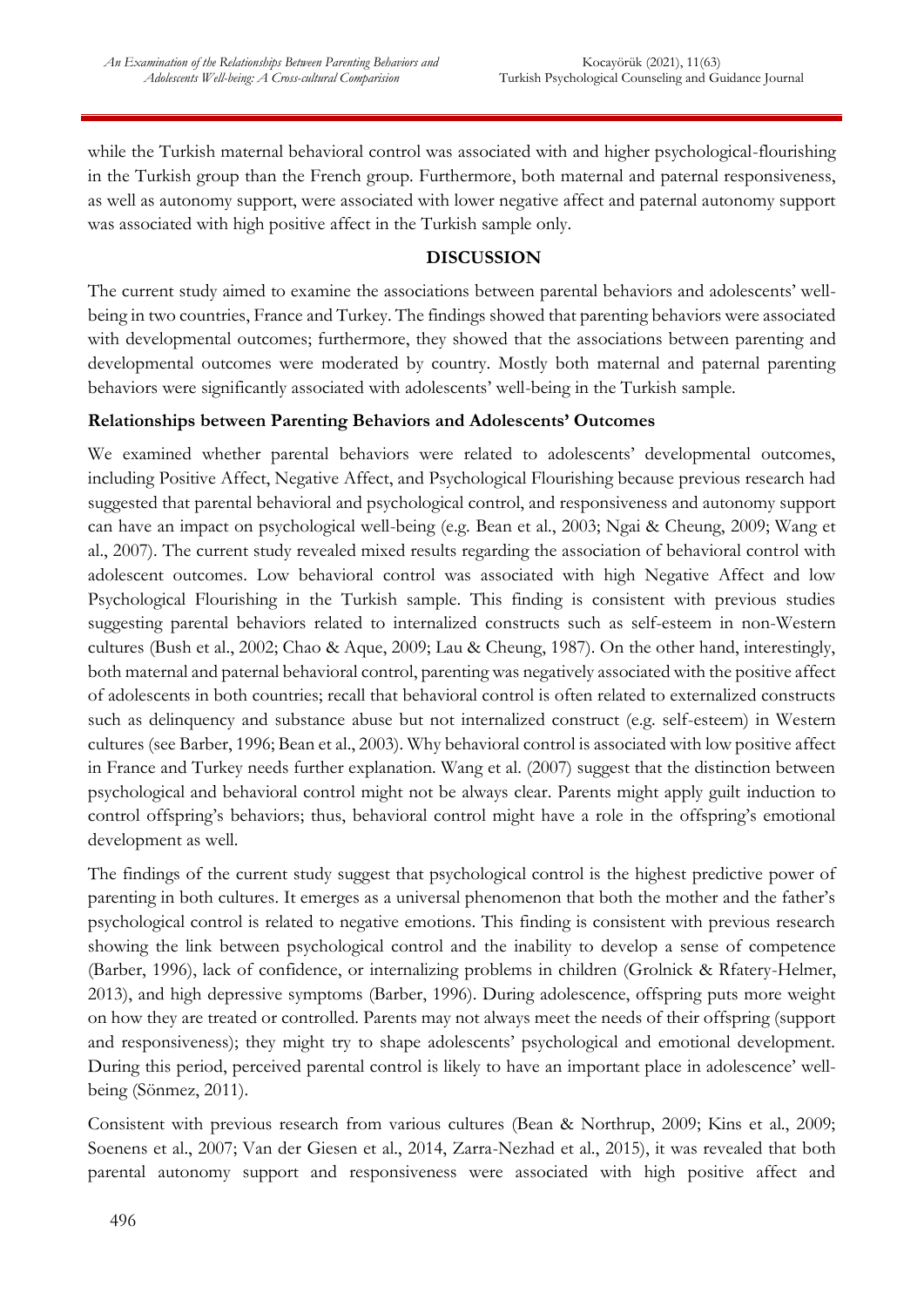while the Turkish maternal behavioral control was associated with and higher psychological-flourishing in the Turkish group than the French group. Furthermore, both maternal and paternal responsiveness, as well as autonomy support, were associated with lower negative affect and paternal autonomy support was associated with high positive affect in the Turkish sample only.

## **DISCUSSION**

The current study aimed to examine the associations between parental behaviors and adolescents' wellbeing in two countries, France and Turkey. The findings showed that parenting behaviors were associated with developmental outcomes; furthermore, they showed that the associations between parenting and developmental outcomes were moderated by country. Mostly both maternal and paternal parenting behaviors were significantly associated with adolescents' well-being in the Turkish sample.

## **Relationships between Parenting Behaviors and Adolescents' Outcomes**

We examined whether parental behaviors were related to adolescents' developmental outcomes, including Positive Affect, Negative Affect, and Psychological Flourishing because previous research had suggested that parental behavioral and psychological control, and responsiveness and autonomy support can have an impact on psychological well-being (e.g. Bean et al., 2003; Ngai & Cheung, 2009; Wang et al., 2007). The current study revealed mixed results regarding the association of behavioral control with adolescent outcomes. Low behavioral control was associated with high Negative Affect and low Psychological Flourishing in the Turkish sample. This finding is consistent with previous studies suggesting parental behaviors related to internalized constructs such as self-esteem in non-Western cultures (Bush et al., 2002; Chao & Aque, 2009; Lau & Cheung, 1987). On the other hand, interestingly, both maternal and paternal behavioral control, parenting was negatively associated with the positive affect of adolescents in both countries; recall that behavioral control is often related to externalized constructs such as delinquency and substance abuse but not internalized construct (e.g. self-esteem) in Western cultures (see Barber, 1996; Bean et al., 2003). Why behavioral control is associated with low positive affect in France and Turkey needs further explanation. Wang et al. (2007) suggest that the distinction between psychological and behavioral control might not be always clear. Parents might apply guilt induction to control offspring's behaviors; thus, behavioral control might have a role in the offspring's emotional development as well.

The findings of the current study suggest that psychological control is the highest predictive power of parenting in both cultures. It emerges as a universal phenomenon that both the mother and the father's psychological control is related to negative emotions. This finding is consistent with previous research showing the link between psychological control and the inability to develop a sense of competence (Barber, 1996), lack of confidence, or internalizing problems in children (Grolnick & Rfatery-Helmer, 2013), and high depressive symptoms (Barber, 1996). During adolescence, offspring puts more weight on how they are treated or controlled. Parents may not always meet the needs of their offspring (support and responsiveness); they might try to shape adolescents' psychological and emotional development. During this period, perceived parental control is likely to have an important place in adolescence' wellbeing (Sönmez, 2011).

Consistent with previous research from various cultures (Bean & Northrup, 2009; Kins et al., 2009; Soenens et al., 2007; Van der Giesen et al., 2014, Zarra-Nezhad et al., 2015), it was revealed that both parental autonomy support and responsiveness were associated with high positive affect and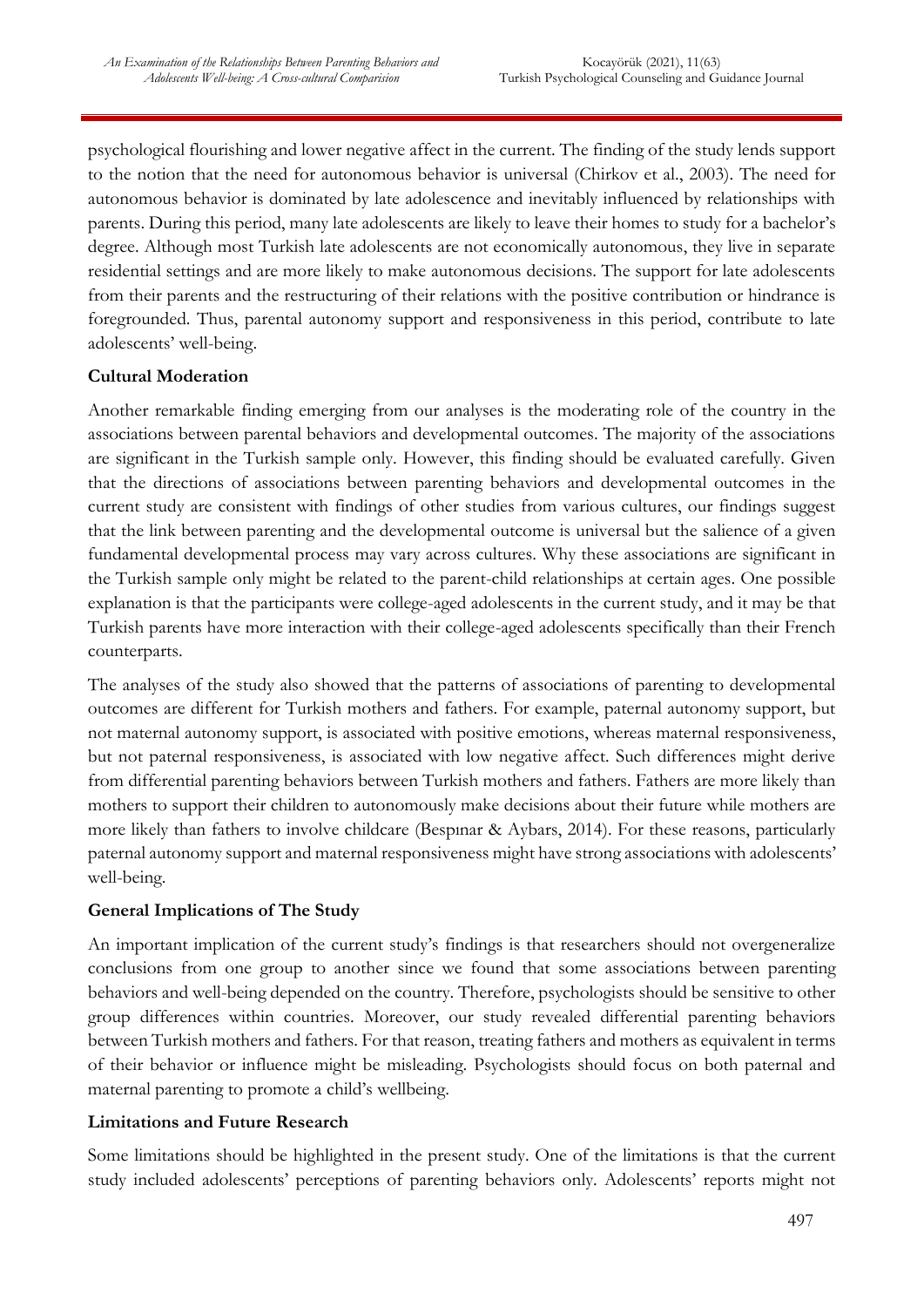psychological flourishing and lower negative affect in the current. The finding of the study lends support to the notion that the need for autonomous behavior is universal (Chirkov et al., 2003). The need for autonomous behavior is dominated by late adolescence and inevitably influenced by relationships with parents. During this period, many late adolescents are likely to leave their homes to study for a bachelor's degree. Although most Turkish late adolescents are not economically autonomous, they live in separate residential settings and are more likely to make autonomous decisions. The support for late adolescents from their parents and the restructuring of their relations with the positive contribution or hindrance is foregrounded. Thus, parental autonomy support and responsiveness in this period, contribute to late adolescents' well-being.

# **Cultural Moderation**

Another remarkable finding emerging from our analyses is the moderating role of the country in the associations between parental behaviors and developmental outcomes. The majority of the associations are significant in the Turkish sample only. However, this finding should be evaluated carefully. Given that the directions of associations between parenting behaviors and developmental outcomes in the current study are consistent with findings of other studies from various cultures, our findings suggest that the link between parenting and the developmental outcome is universal but the salience of a given fundamental developmental process may vary across cultures. Why these associations are significant in the Turkish sample only might be related to the parent-child relationships at certain ages. One possible explanation is that the participants were college-aged adolescents in the current study, and it may be that Turkish parents have more interaction with their college-aged adolescents specifically than their French counterparts.

The analyses of the study also showed that the patterns of associations of parenting to developmental outcomes are different for Turkish mothers and fathers. For example, paternal autonomy support, but not maternal autonomy support, is associated with positive emotions, whereas maternal responsiveness, but not paternal responsiveness, is associated with low negative affect. Such differences might derive from differential parenting behaviors between Turkish mothers and fathers. Fathers are more likely than mothers to support their children to autonomously make decisions about their future while mothers are more likely than fathers to involve childcare (Bespınar & Aybars, 2014). For these reasons, particularly paternal autonomy support and maternal responsiveness might have strong associations with adolescents' well-being.

## **General Implications of The Study**

An important implication of the current study's findings is that researchers should not overgeneralize conclusions from one group to another since we found that some associations between parenting behaviors and well-being depended on the country. Therefore, psychologists should be sensitive to other group differences within countries. Moreover, our study revealed differential parenting behaviors between Turkish mothers and fathers. For that reason, treating fathers and mothers as equivalent in terms of their behavior or influence might be misleading. Psychologists should focus on both paternal and maternal parenting to promote a child's wellbeing.

## **Limitations and Future Research**

Some limitations should be highlighted in the present study. One of the limitations is that the current study included adolescents' perceptions of parenting behaviors only. Adolescents' reports might not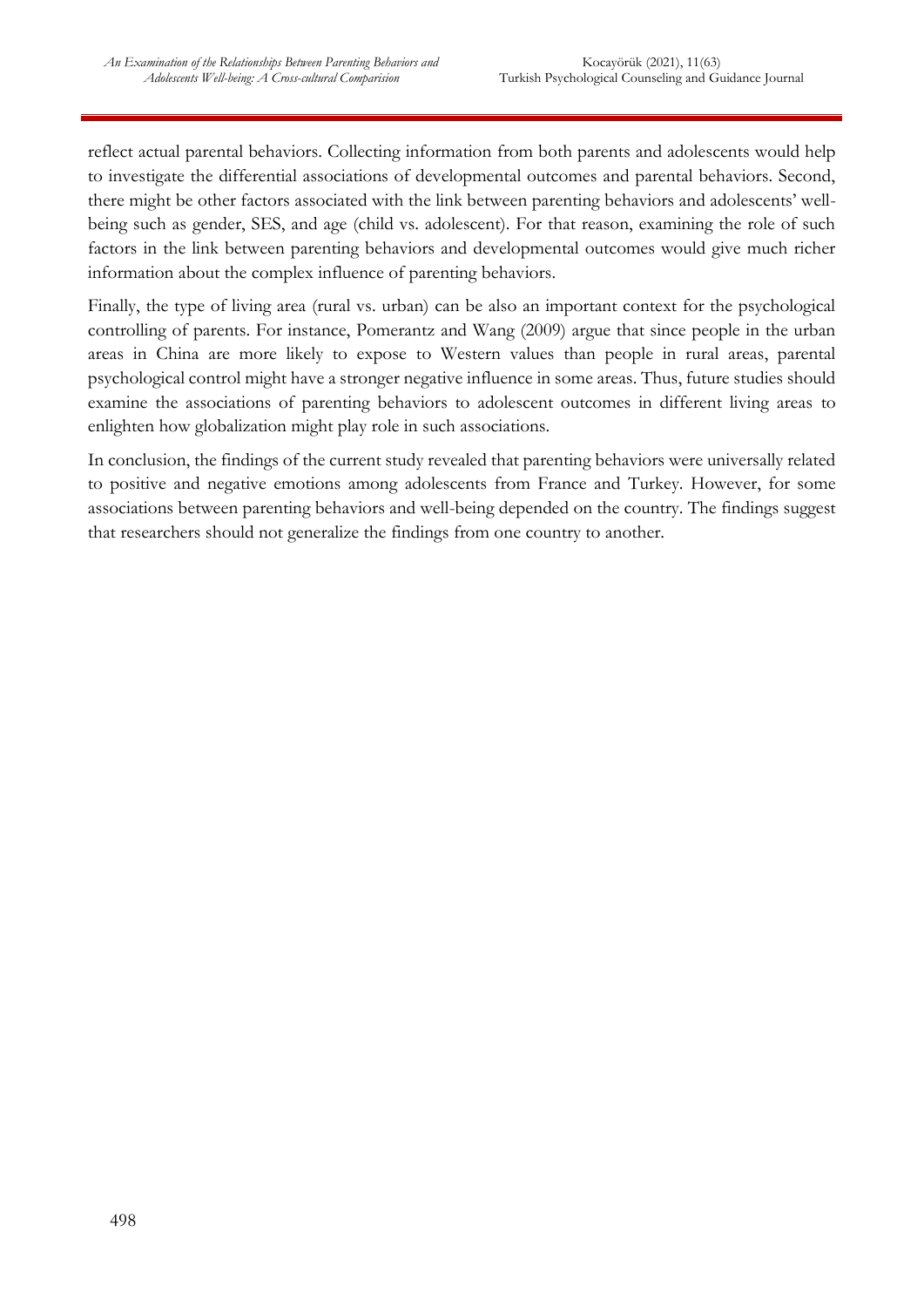reflect actual parental behaviors. Collecting information from both parents and adolescents would help to investigate the differential associations of developmental outcomes and parental behaviors. Second, there might be other factors associated with the link between parenting behaviors and adolescents' wellbeing such as gender, SES, and age (child vs. adolescent). For that reason, examining the role of such factors in the link between parenting behaviors and developmental outcomes would give much richer information about the complex influence of parenting behaviors.

Finally, the type of living area (rural vs. urban) can be also an important context for the psychological controlling of parents. For instance, Pomerantz and Wang (2009) argue that since people in the urban areas in China are more likely to expose to Western values than people in rural areas, parental psychological control might have a stronger negative influence in some areas. Thus, future studies should examine the associations of parenting behaviors to adolescent outcomes in different living areas to enlighten how globalization might play role in such associations.

In conclusion, the findings of the current study revealed that parenting behaviors were universally related to positive and negative emotions among adolescents from France and Turkey. However, for some associations between parenting behaviors and well-being depended on the country. The findings suggest that researchers should not generalize the findings from one country to another.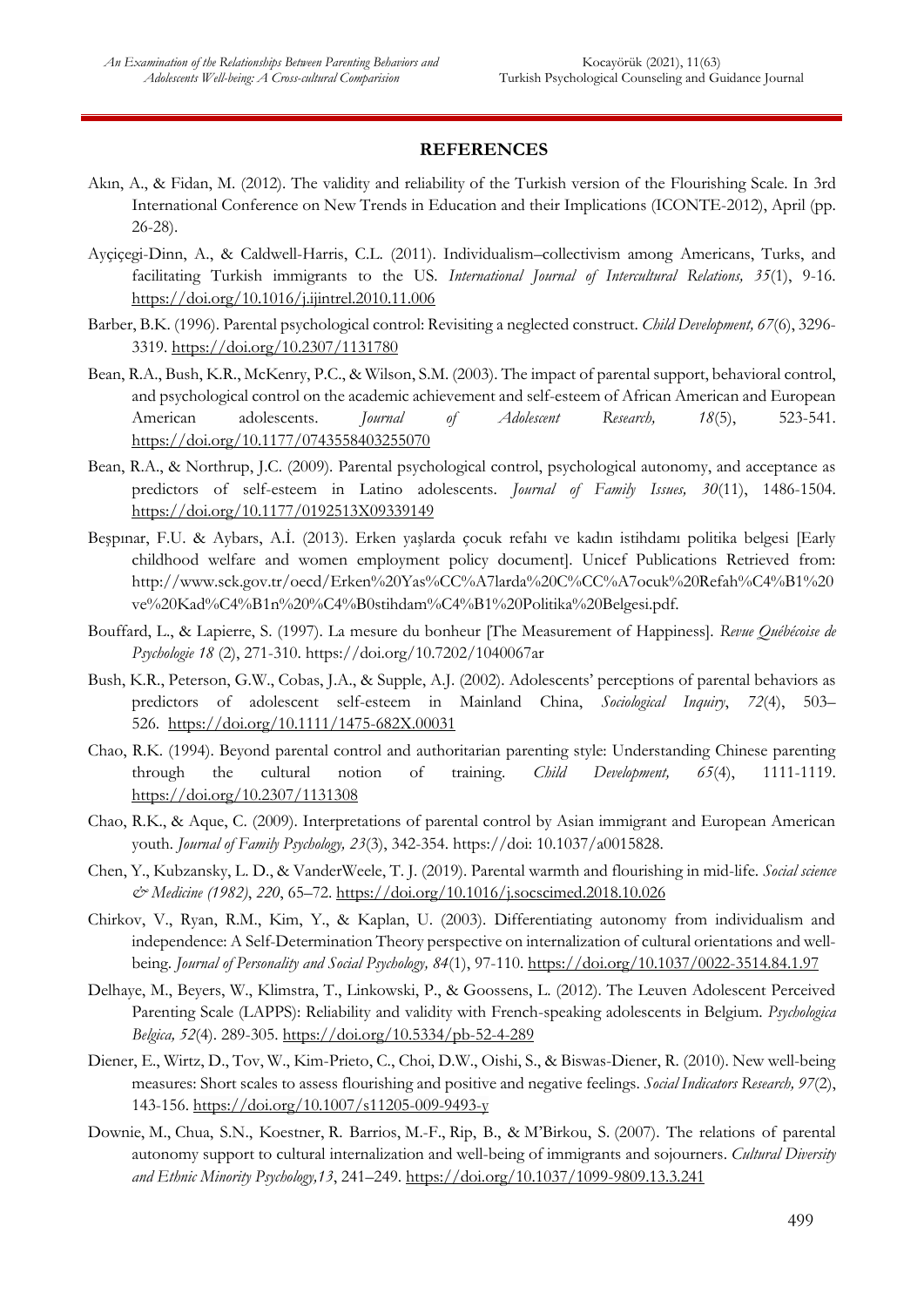#### **REFERENCES**

- Akın, A., & Fidan, M. (2012). The validity and reliability of the Turkish version of the Flourishing Scale. In 3rd International Conference on New Trends in Education and their Implications (ICONTE-2012), April (pp. 26-28).
- Ayçiçegi-Dinn, A., & Caldwell-Harris, C.L. (2011). Individualism–collectivism among Americans, Turks, and facilitating Turkish immigrants to the US. *International Journal of Intercultural Relations, 35*(1), 9-16. <https://doi.org/10.1016/j.ijintrel.2010.11.006>
- Barber, B.K. (1996). Parental psychological control: Revisiting a neglected construct. *Child Development, 67*(6), 3296- 3319. [https://doi.org/10.2307/1131780](https://psycnet.apa.org/doi/10.2307/1131780)
- Bean, R.A., Bush, K.R., McKenry, P.C., & Wilson, S.M. (2003). The impact of parental support, behavioral control, and psychological control on the academic achievement and self-esteem of African American and European American adolescents. *Journal of Adolescent Research, 18*(5), 523-541. [https://doi.org/10.1177/0743558403255070](https://doi.org/10.1177%2F0743558403255070)
- Bean, R.A., & Northrup, J.C. (2009). Parental psychological control, psychological autonomy, and acceptance as predictors of self-esteem in Latino adolescents. *Journal of Family Issues, 30*(11), 1486-1504. [https://doi.org/10.1177/0192513X09339149](https://psycnet.apa.org/doi/10.1177/0192513X09339149)
- Beşpınar, F.U. & Aybars, A.İ. (2013). Erken yaşlarda çocuk refahı ve kadın istihdamı politika belgesi [Early childhood welfare and women employment policy document]. Unicef Publications Retrieved from: http://www.sck.gov.tr/oecd/Erken%20Yas%CC%A7larda%20C%CC%A7ocuk%20Refah%C4%B1%20 ve%20Kad%C4%B1n%20%C4%B0stihdam%C4%B1%20Politika%20Belgesi.pdf.
- Bouffard, L., & Lapierre, S. (1997). La mesure du bonheur [The Measurement of Happiness]. *Revue Québécoise de Psychologie 18* (2), 271-310. https://doi.org/10.7202/1040067ar
- Bush, K.R., Peterson, G.W., Cobas, J.A., & Supple, A.J. (2002). Adolescents' perceptions of parental behaviors as predictors of adolescent self-esteem in Mainland China, *Sociological Inquiry*, *72*(4), 503– 526. [https://doi.org/10.1111/1475-682X.00031](https://psycnet.apa.org/doi/10.1111/1475-682X.00031)
- Chao, R.K. (1994). Beyond parental control and authoritarian parenting style: Understanding Chinese parenting through the cultural notion of training. *Child Development, 65*(4), 1111-1119. [https://doi.org/10.2307/1131308](https://psycnet.apa.org/doi/10.2307/1131308)
- Chao, R.K., & Aque, C. (2009). Interpretations of parental control by Asian immigrant and European American youth*. Journal of Family Psychology, 23*(3), 342-354. https://doi: 10.1037/a0015828.
- Chen, Y., Kubzansky, L. D., & VanderWeele, T. J. (2019). Parental warmth and flourishing in mid-life. *Social science & Medicine (1982)*, *220*, 65–72.<https://doi.org/10.1016/j.socscimed.2018.10.026>
- Chirkov, V., Ryan, R.M., Kim, Y., & Kaplan, U. (2003). Differentiating autonomy from individualism and independence: A Self-Determination Theory perspective on internalization of cultural orientations and wellbeing. *Journal of Personality and Social Psychology, 84*(1), 97-110. [https://doi.org/10.1037/0022-3514.84.1.97](https://psycnet.apa.org/doi/10.1037/0022-3514.84.1.97)
- Delhaye, M., Beyers, W., Klimstra, T., Linkowski, P., & Goossens, L. (2012). The Leuven Adolescent Perceived Parenting Scale (LAPPS): Reliability and validity with French-speaking adolescents in Belgium. *Psychologica Belgica, 52*(4). 289-305. [https://doi.org/10.5334/pb-52-4-289](https://psycnet.apa.org/doi/10.5334/pb-52-4-289)
- Diener, E., Wirtz, D., Tov, W., Kim-Prieto, C., Choi, D.W., Oishi, S., & Biswas-Diener, R. (2010). New well-being measures: Short scales to assess flourishing and positive and negative feelings. *Social Indicators Research, 97*(2), 143-156.<https://doi.org/10.1007/s11205-009-9493-y>
- Downie, M., Chua, S.N., Koestner, R. Barrios, M.-F., Rip, B., & M'Birkou, S. (2007). The relations of parental autonomy support to cultural internalization and well-being of immigrants and sojourners. *Cultural Diversity and Ethnic Minority Psychology,13*, 241–249. [https://doi.org/10.1037/1099-9809.13.3.241](https://psycnet.apa.org/doi/10.1037/1099-9809.13.3.241)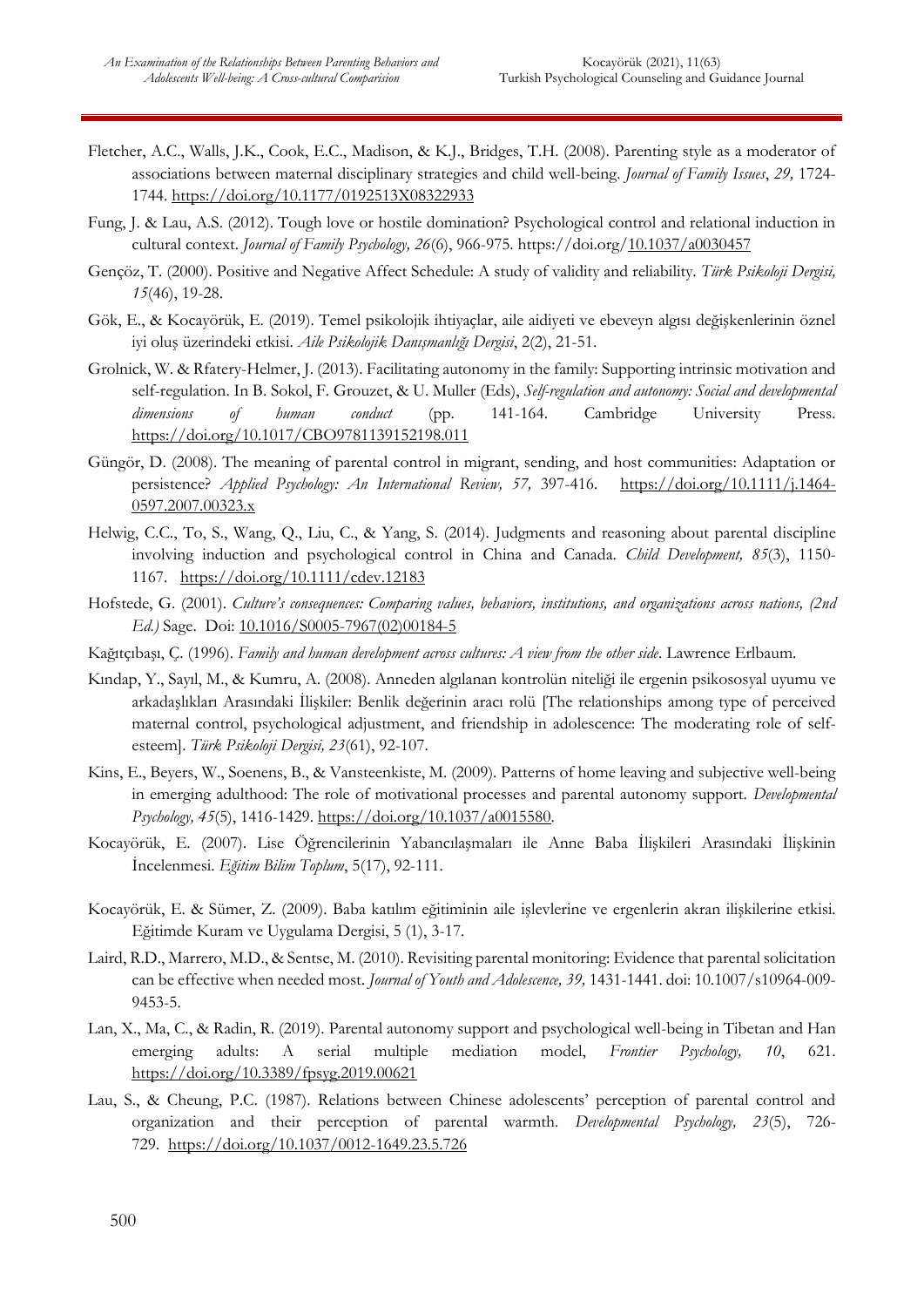- Fletcher, A.C., Walls, J.K., Cook, E.C., Madison, & K.J., Bridges, T.H. (2008). Parenting style as a moderator of associations between maternal disciplinary strategies and child well-being. *Journal of Family Issues*, *29,* 1724- 1744. [https://doi.org/10.1177/0192513X08322933](https://psycnet.apa.org/doi/10.1177/0192513X08322933)
- Fung, J. & Lau, A.S. (2012). Tough love or hostile domination? Psychological control and relational induction in cultural context. *Journal of Family Psychology, 26*(6), 966-975. https://doi.org[/10.1037/a0030457](https://doi.org/10.1037/a0030457)
- Gençöz, T. (2000). Positive and Negative Affect Schedule: A study of validity and reliability. *Türk Psikoloji Dergisi, 15*(46), 19-28.
- Gök, E., & Kocayörük, E. (2019). Temel psikolojik ihtiyaçlar, aile aidiyeti ve ebeveyn algısı değişkenlerinin öznel iyi oluş üzerindeki etkisi. *Aile Psikolojik Danışmanlığı Dergisi*, 2(2), 21-51.
- Grolnick, W. & Rfatery-Helmer, J. (2013). Facilitating autonomy in the family: Supporting intrinsic motivation and self-regulation. In B. Sokol, F. Grouzet, & U. Muller (Eds), *Self-regulation and autonomy: Social and developmental dimensions of human conduct* (pp. 141-164. Cambridge University Press. <https://doi.org/10.1017/CBO9781139152198.011>
- Güngör, D. (2008). The meaning of parental control in migrant, sending, and host communities: Adaptation or persistence? *Applied Psychology: An International Review, 57,* 397-416. [https://doi.org/10.1111/j.1464-](https://doi.org/10.1111/j.1464-0597.2007.00323.x) [0597.2007.00323.x](https://doi.org/10.1111/j.1464-0597.2007.00323.x)
- Helwig, C.C., To, S., Wang, Q., Liu, C., & Yang, S. (2014). Judgments and reasoning about parental discipline involving induction and psychological control in China and Canada. *Child Development, 85*(3), 1150- 1167. <https://doi.org/10.1111/cdev.12183>
- Hofstede, G. (2001). *Culture's consequences: Comparing values, behaviors, institutions, and organizations across nations, (2nd Ed.)* Sage. Doi: [10.1016/S0005-7967\(02\)00184-5](http://dx.doi.org/10.1016/S0005-7967(02)00184-5)
- Kağıtçıbaşı, Ç. (1996). *Family and human development across cultures: A view from the other side*. Lawrence Erlbaum.
- Kındap, Y., Sayıl, M., & Kumru, A. (2008). Anneden algılanan kontrolün niteliği ile ergenin psikososyal uyumu ve arkadaşlıkları Arasındaki İlişkiler: Benlik değerinin aracı rolü [The relationships among type of perceived maternal control, psychological adjustment, and friendship in adolescence: The moderating role of selfesteem]. *Türk Psikoloji Dergisi, 23*(61), 92-107.
- Kins, E., Beyers, W., Soenens, B., & Vansteenkiste, M. (2009). Patterns of home leaving and subjective well-being in emerging adulthood: The role of motivational processes and parental autonomy support. *Developmental Psychology, 45*(5), 1416-1429. [https://doi.org/10.1037/a0015580.](https://psycnet.apa.org/doi/10.1037/a0015580)
- Kocayörük, E. (2007). Lise Öğrencilerinin Yabancılaşmaları ile Anne Baba İlişkileri Arasındaki İlişkinin İncelenmesi. *Eğitim Bilim Toplum*, 5(17), 92-111.
- Kocayörük, E. & Sümer, Z. (2009). Baba katılım eğitiminin aile işlevlerine ve ergenlerin akran ilişkilerine etkisi. Eğitimde Kuram ve Uygulama Dergisi, 5 (1), 3-17.
- Laird, R.D., Marrero, M.D., & Sentse, M. (2010). Revisiting parental monitoring: Evidence that parental solicitation can be effective when needed most. *Journal of Youth and Adolescence, 39,* 1431-1441. doi: 10.1007/s10964-009- 9453-5.
- Lan, X., Ma, C., & Radin, R. (2019). Parental autonomy support and psychological well-being in Tibetan and Han emerging adults: A serial multiple mediation model, *Frontier Psychology, 10*, 621. <https://doi.org/10.3389/fpsyg.2019.00621>
- Lau, S., & Cheung, P.C. (1987). Relations between Chinese adolescents' perception of parental control and organization and their perception of parental warmth. *Developmental Psychology, 23*(5), 726- 729. [https://doi.org/10.1037/0012-1649.23.5.726](https://psycnet.apa.org/doi/10.1037/0012-1649.23.5.726)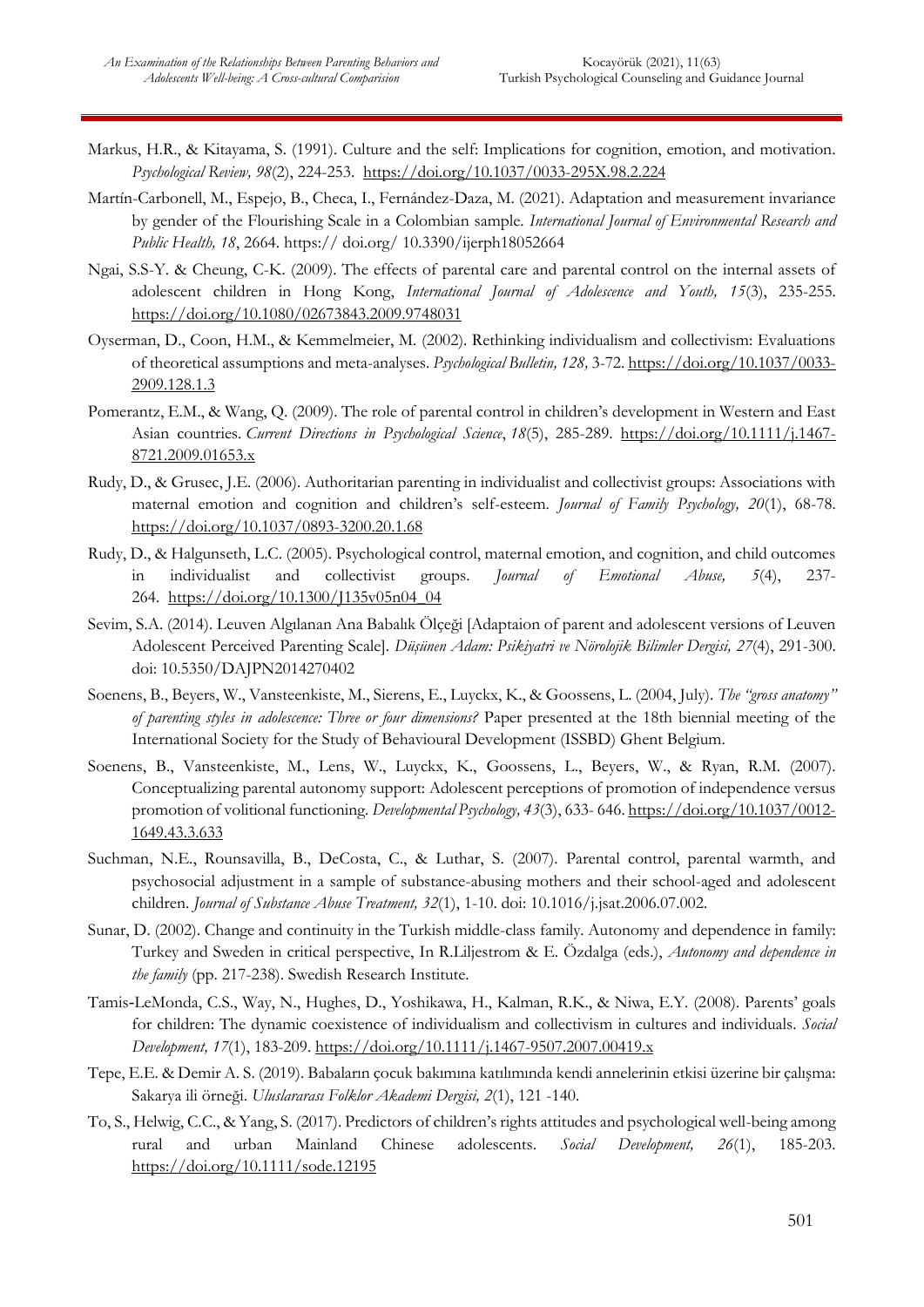- Markus, H.R., & Kitayama, S. (1991). Culture and the self: Implications for cognition, emotion, and motivation. *Psychological Review, 98*(2), 224-253. [https://doi.org/10.1037/0033-295X.98.2.224](https://psycnet.apa.org/doi/10.1037/0033-295X.98.2.224)
- Martín-Carbonell, M., Espejo, B., Checa, I., Fernández-Daza, M. (2021). Adaptation and measurement invariance by gender of the Flourishing Scale in a Colombian sample. *International Journal of Environmental Research and Public Health, 18*, 2664. https:// doi.org/ 10.3390/ijerph18052664
- Ngai, S.S-Y. & Cheung, C-K. (2009). The effects of parental care and parental control on the internal assets of adolescent children in Hong Kong, *International Journal of Adolescence and Youth, 15*(3), 235-255. [https://doi.org/10.1080/02673843.2009.9748031](https://psycnet.apa.org/doi/10.1080/02673843.2009.9748031)
- Oyserman, D., Coon, H.M., & Kemmelmeier, M. (2002). Rethinking individualism and collectivism: Evaluations of theoretical assumptions and meta-analyses. *Psychological Bulletin, 128,* 3-72. [https://doi.org/10.1037/0033-](https://psycnet.apa.org/doi/10.1037/0033-2909.128.1.3) [2909.128.1.3](https://psycnet.apa.org/doi/10.1037/0033-2909.128.1.3)
- Pomerantz, E.M., & Wang, Q. (2009). The role of parental control in children's development in Western and East Asian countries. *Current Directions in Psychological Science*, *18*(5), 285-289. [https://doi.org/10.1111/j.1467-](https://psycnet.apa.org/doi/10.1111/j.1467-8721.2009.01653.x) [8721.2009.01653.x](https://psycnet.apa.org/doi/10.1111/j.1467-8721.2009.01653.x)
- Rudy, D., & Grusec, J.E. (2006). Authoritarian parenting in individualist and collectivist groups: Associations with maternal emotion and cognition and children's self-esteem. *Journal of Family Psychology, 20*(1), 68-78. [https://doi.org/10.1037/0893-3200.20.1.68](https://psycnet.apa.org/doi/10.1037/0893-3200.20.1.68)
- Rudy, D., & Halgunseth, L.C. (2005). Psychological control, maternal emotion, and cognition, and child outcomes in individualist and collectivist groups. *Journal of Emotional Abuse, 5*(4), 237- 264. [https://doi.org/10.1300/J135v05n04\\_04](https://psycnet.apa.org/doi/10.1300/J135v05n04_04)
- Sevim, S.A. (2014). Leuven Algılanan Ana Babalık Ölçeği [Adaptaion of parent and adolescent versions of Leuven Adolescent Perceived Parenting Scale]. *Düşünen Adam: Psikiyatri ve Nörolojik Bilimler Dergisi, 27*(4), 291-300. doi: 10.5350/DAJPN2014270402
- Soenens, B., Beyers, W., Vansteenkiste, M., Sierens, E., Luyckx, K., & Goossens, L. (2004, July). *The "gross anatomy" of parenting styles in adolescence: Three or four dimensions?* Paper presented at the 18th biennial meeting of the International Society for the Study of Behavioural Development (ISSBD) Ghent Belgium.
- Soenens, B., Vansteenkiste, M., Lens, W., Luyckx, K., Goossens, L., Beyers, W., & Ryan, R.M. (2007). Conceptualizing parental autonomy support: Adolescent perceptions of promotion of independence versus promotion of volitional functioning*. Developmental Psychology, 43*(3), 633- 646. [https://doi.org/10.1037/0012-](https://psycnet.apa.org/doi/10.1037/0012-1649.43.3.633) [1649.43.3.633](https://psycnet.apa.org/doi/10.1037/0012-1649.43.3.633)
- Suchman, N.E., Rounsavilla, B., DeCosta, C., & Luthar, S. (2007). Parental control, parental warmth, and psychosocial adjustment in a sample of substance-abusing mothers and their school-aged and adolescent children. *Journal of Substance Abuse Treatment, 32*(1), 1-10. doi: 10.1016/j.jsat.2006.07.002.
- Sunar, D. (2002). Change and continuity in the Turkish middle-class family. Autonomy and dependence in family: Turkey and Sweden in critical perspective, In R.Liljestrom & E. Özdalga (eds.), *Autonomy and dependence in the family* (pp. 217-238). Swedish Research Institute.
- Tamis‐LeMonda, C.S., Way, N., Hughes, D., Yoshikawa, H., Kalman, R.K., & Niwa, E.Y. (2008). Parents' goals for children: The dynamic coexistence of individualism and collectivism in cultures and individuals. *Social Development, 17*(1), 183-209. <https://doi.org/10.1111/j.1467-9507.2007.00419.x>
- Tepe, E.E. & Demir A. S. (2019). Babaların çocuk bakımına katılımında kendi annelerinin etkisi üzerine bir çalışma: Sakarya ili örneği. *Uluslararası Folklor Akademi Dergisi, 2*(1), 121 -140.
- To, S., Helwig, C.C., & Yang, S. (2017). Predictors of children's rights attitudes and psychological well-being among rural and urban Mainland Chinese adolescents. *Social Development, 26*(1), 185-203. [https://doi.org/10.1111/sode.12195](https://psycnet.apa.org/doi/10.1111/sode.12195)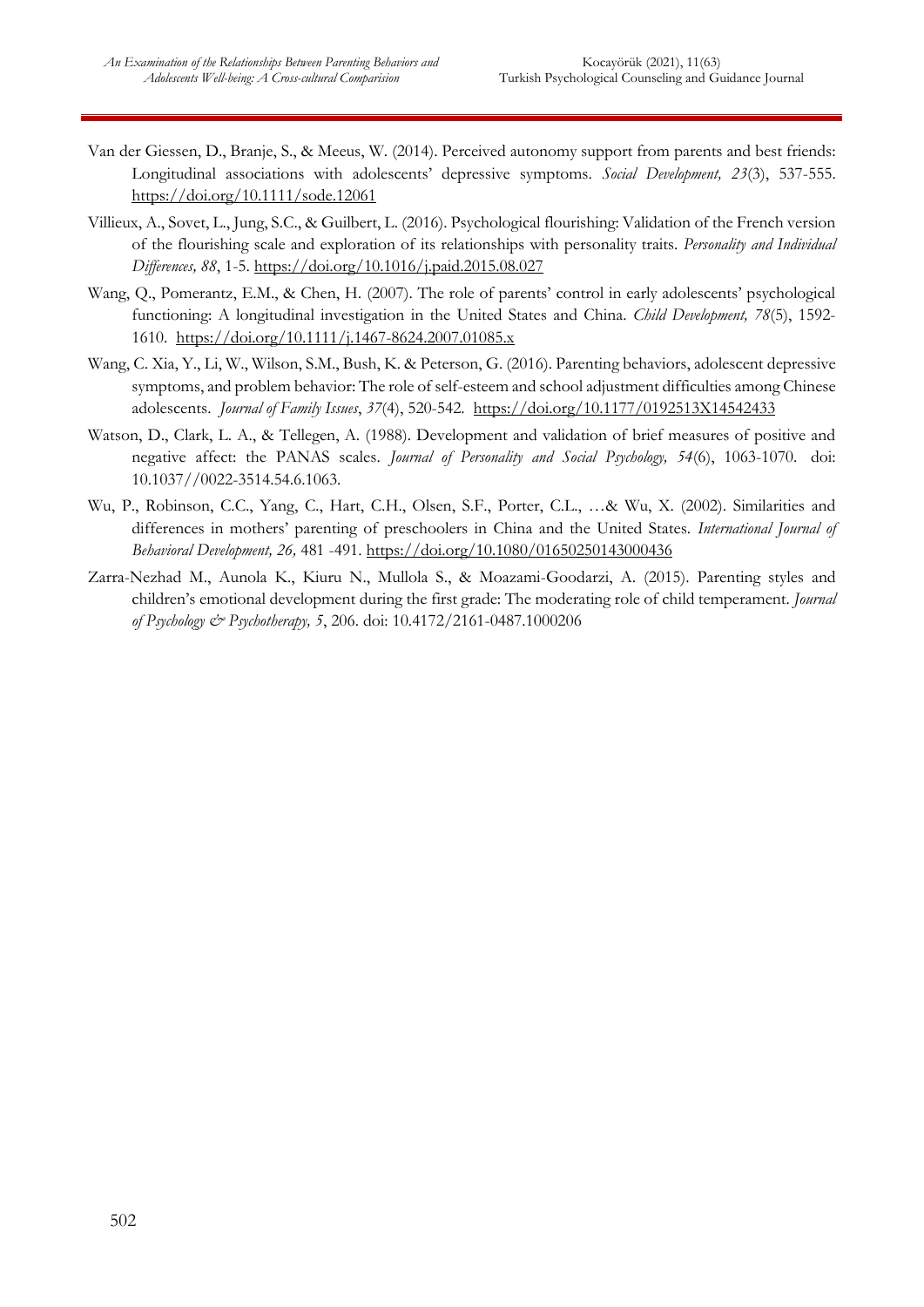- Van der Giessen, D., Branje, S., & Meeus, W. (2014). Perceived autonomy support from parents and best friends: Longitudinal associations with adolescents' depressive symptoms. *Social Development, 23*(3), 537-555. [https://doi.org/10.1111/sode.12061](https://psycnet.apa.org/doi/10.1111/sode.12061)
- Villieux, A., Sovet, L., Jung, S.C., & Guilbert, L. (2016). Psychological flourishing: Validation of the French version of the flourishing scale and exploration of its relationships with personality traits. *Personality and Individual Differences, 88*, 1-5. [https://doi.org/10.1016/j.paid.2015.08.027](https://psycnet.apa.org/doi/10.1016/j.paid.2015.08.027)
- Wang, Q., Pomerantz, E.M., & Chen, H. (2007). The role of parents' control in early adolescents' psychological functioning: A longitudinal investigation in the United States and China. *Child Development, 78*(5), 1592- 1610. <https://doi.org/10.1111/j.1467-8624.2007.01085.x>
- Wang, C. Xia, Y., Li, W., Wilson, S.M., Bush, K. & Peterson, G. (2016). Parenting behaviors, adolescent depressive symptoms, and problem behavior: The role of self-esteem and school adjustment difficulties among Chinese adolescents. *Journal of Family Issues*, *37*(4), 520-542. [https://doi.org/10.1177/0192513X14542433](https://psycnet.apa.org/doi/10.1177/0192513X14542433)
- Watson, D., Clark, L. A., & Tellegen, A. (1988). Development and validation of brief measures of positive and negative affect: the PANAS scales. *Journal of Personality and Social Psychology, 54*(6), 1063-1070. doi: 10.1037//0022-3514.54.6.1063.
- Wu, P., Robinson, C.C., Yang, C., Hart, C.H., Olsen, S.F., Porter, C.L., …& Wu, X. (2002). Similarities and differences in mothers' parenting of preschoolers in China and the United States. *International Journal of Behavioral Development, 26,* 481 -491. [https://doi.org/10.1080/01650250143000436](https://doi.org/10.1080%2F01650250143000436)
- Zarra-Nezhad M., Aunola K., Kiuru N., Mullola S., & Moazami-Goodarzi, A. (2015). Parenting styles and children's emotional development during the first grade: The moderating role of child temperament. *Journal of Psychology & Psychotherapy, 5*, 206. doi: 10.4172/2161-0487.1000206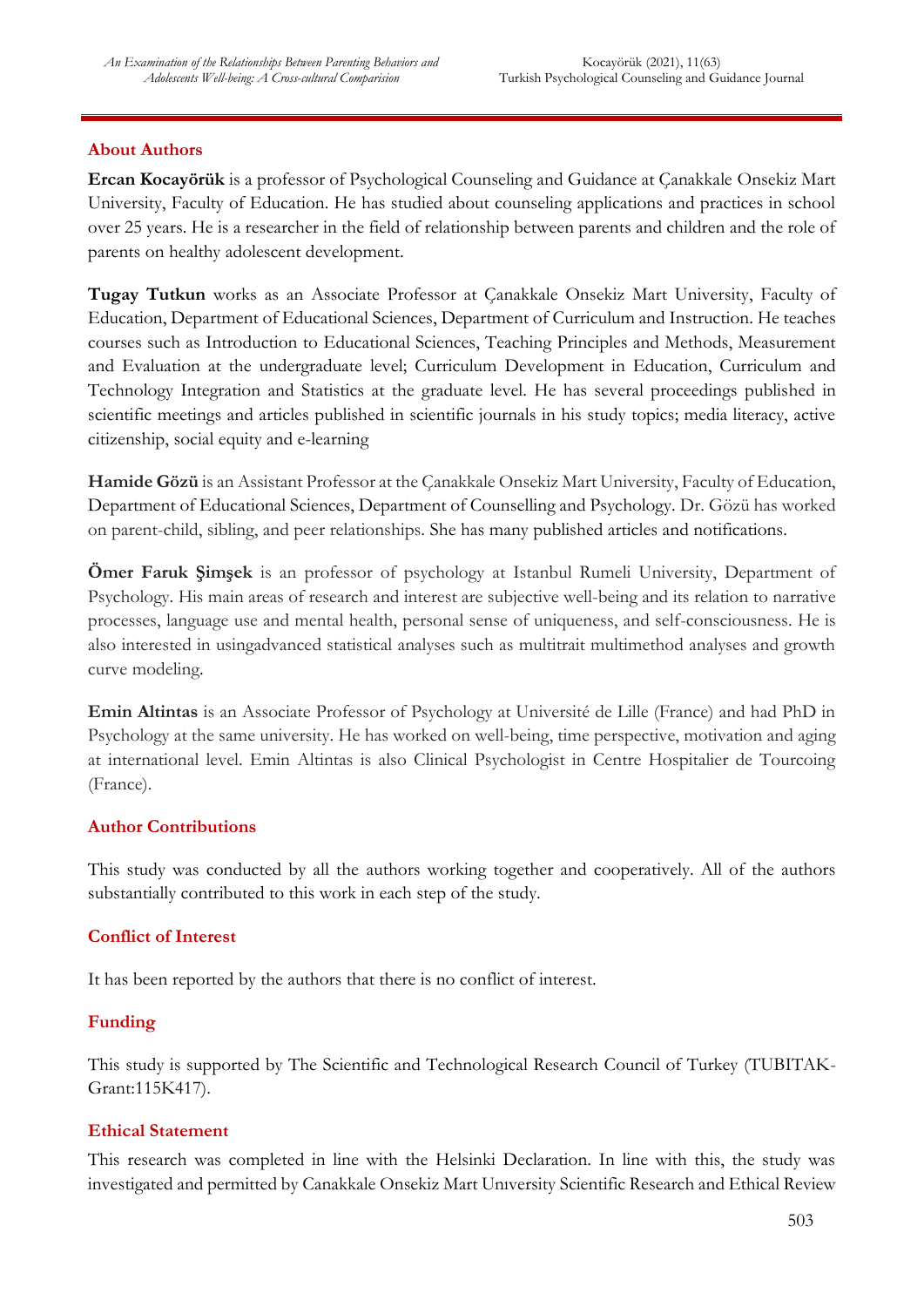#### **About Authors**

**Ercan Kocayörük** is a professor of Psychological Counseling and Guidance at Çanakkale Onsekiz Mart University, Faculty of Education. He has studied about counseling applications and practices in school over 25 years. He is a researcher in the field of relationship between parents and children and the role of parents on healthy adolescent development.

**Tugay Tutkun** works as an Associate Professor at Çanakkale Onsekiz Mart University, Faculty of Education, Department of Educational Sciences, Department of Curriculum and Instruction. He teaches courses such as Introduction to Educational Sciences, Teaching Principles and Methods, Measurement and Evaluation at the undergraduate level; Curriculum Development in Education, Curriculum and Technology Integration and Statistics at the graduate level. He has several proceedings published in scientific meetings and articles published in scientific journals in his study topics; media literacy, active citizenship, social equity and e-learning

**Hamide Gözü** is an Assistant Professor at the Çanakkale Onsekiz Mart University, Faculty of Education, Department of Educational Sciences, Department of Counselling and Psychology. Dr. Gözü has worked on parent-child, sibling, and peer relationships. She has many published articles and notifications.

**Ömer Faruk Şimşek** is an professor of psychology at Istanbul Rumeli University, Department of Psychology. His main areas of research and interest are subjective well-being and its relation to narrative processes, language use and mental health, personal sense of uniqueness, and self-consciousness. He is also interested in usingadvanced statistical analyses such as multitrait multimethod analyses and growth curve modeling.

**Emin Altintas** is an Associate Professor of Psychology at Université de Lille (France) and had PhD in Psychology at the same university. He has worked on well-being, time perspective, motivation and aging at international level. Emin Altintas is also Clinical Psychologist in Centre Hospitalier de Tourcoing (France).

## **Author Contributions**

This study was conducted by all the authors working together and cooperatively. All of the authors substantially contributed to this work in each step of the study.

## **Conflict of Interest**

It has been reported by the authors that there is no conflict of interest.

## **Funding**

This study is supported by The Scientific and Technological Research Council of Turkey (TUBITAK-Grant:115K417).

## **Ethical Statement**

This research was completed in line with the Helsinki Declaration. In line with this, the study was investigated and permitted by Canakkale Onsekiz Mart Unıversity Scientific Research and Ethical Review